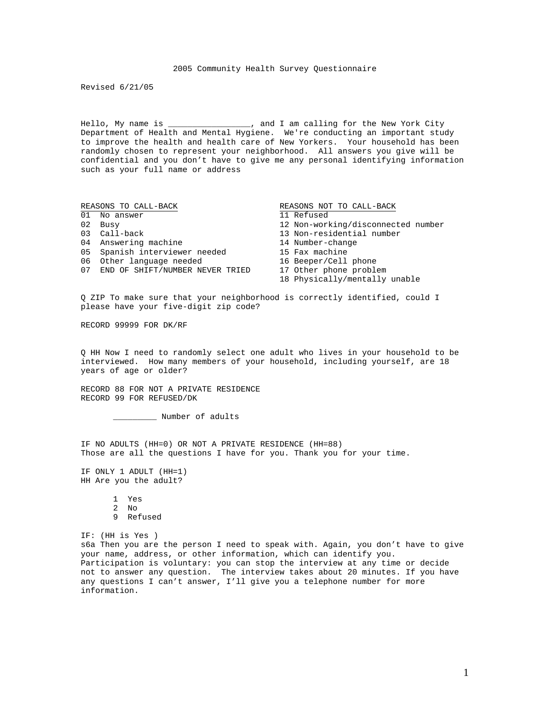### 2005 Community Health Survey Questionnaire

Revised 6/21/05

Hello, My name is \_\_\_\_\_\_\_\_\_\_\_\_\_\_\_\_\_, and I am calling for the New York City Department of Health and Mental Hygiene. We're conducting an important study to improve the health and health care of New Yorkers. Your household has been randomly chosen to represent your neighborhood. All answers you give will be confidential and you don't have to give me any personal identifying information such as your full name or address

- 
- 
- 
- 
- 04 Answering machine 14 Number-changer 14 Number-changer<br>05 Spanish interviewer needed 15 Fax machine
- 05 Spanish interviewer needed 15 Fax machine<br>06 Other language needed 16 Beeper/Cell phone
- 
- 07 END OF SHIFT/NUMBER NEVER TRIED 17 Other phone problem

REASONS TO CALL-BACK REASONS NOT TO CALL-BACK

- 01 No answer 11 Refused
- 02 Busy 12 Non-working/disconnected number
	- 13 Non-residential number<br>14 Number-change
		-
	-
- 06 Other language needed 16 Beeper/Cell phone
	-
	- 18 Physically/mentally unable

Q ZIP To make sure that your neighborhood is correctly identified, could I please have your five-digit zip code?

RECORD 99999 FOR DK/RF

Q HH Now I need to randomly select one adult who lives in your household to be interviewed. How many members of your household, including yourself, are 18 years of age or older?

RECORD 88 FOR NOT A PRIVATE RESIDENCE RECORD 99 FOR REFUSED/DK

\_\_\_\_\_\_\_\_\_ Number of adults

IF NO ADULTS (HH=0) OR NOT A PRIVATE RESIDENCE (HH=88) Those are all the questions I have for you. Thank you for your time.

IF ONLY 1 ADULT (HH=1) HH Are you the adult?

> 1 Yes 2 No 9 Refused

IF: (HH is Yes ) s6a Then you are the person I need to speak with. Again, you don't have to give your name, address, or other information, which can identify you. Participation is voluntary: you can stop the interview at any time or decide not to answer any question. The interview takes about 20 minutes. If you have any questions I can't answer, I'll give you a telephone number for more information.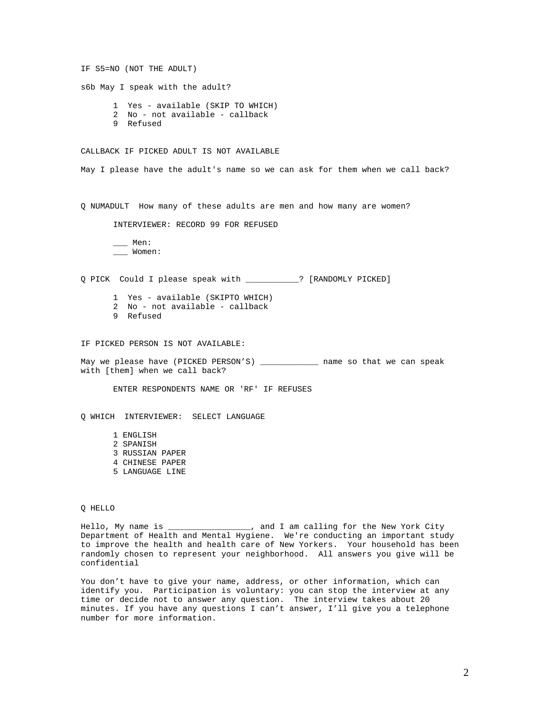IF S5=NO (NOT THE ADULT) s6b May I speak with the adult? 1 Yes - available (SKIP TO WHICH) 2 No - not available - callback 9 Refused CALLBACK IF PICKED ADULT IS NOT AVAILABLE May I please have the adult's name so we can ask for them when we call back? Q NUMADULT How many of these adults are men and how many are women? INTERVIEWER: RECORD 99 FOR REFUSED  $\frac{1}{\sqrt{2}}$  Men: \_\_\_ Women:

Q PICK Could I please speak with \_\_\_\_\_\_\_\_\_\_\_? [RANDOMLY PICKED]

1 Yes - available (SKIPTO WHICH) 2 No - not available - callback 9 Refused

IF PICKED PERSON IS NOT AVAILABLE:

May we please have (PICKED PERSON'S) \_\_\_\_\_\_\_\_\_\_\_\_\_\_ name so that we can speak with [them] when we call back?

ENTER RESPONDENTS NAME OR 'RF' IF REFUSES

Q WHICH INTERVIEWER: SELECT LANGUAGE

1 ENGLISH 2 SPANISH 3 RUSSIAN PAPER 4 CHINESE PAPER 5 LANGUAGE LINE

Q HELLO

Hello, My name is \_\_\_\_\_\_\_\_\_\_\_\_\_\_\_\_\_, and I am calling for the New York City Department of Health and Mental Hygiene. We're conducting an important study to improve the health and health care of New Yorkers. Your household has been randomly chosen to represent your neighborhood. All answers you give will be confidential

You don't have to give your name, address, or other information, which can identify you. Participation is voluntary: you can stop the interview at any time or decide not to answer any question. The interview takes about 20 minutes. If you have any questions I can't answer, I'll give you a telephone number for more information.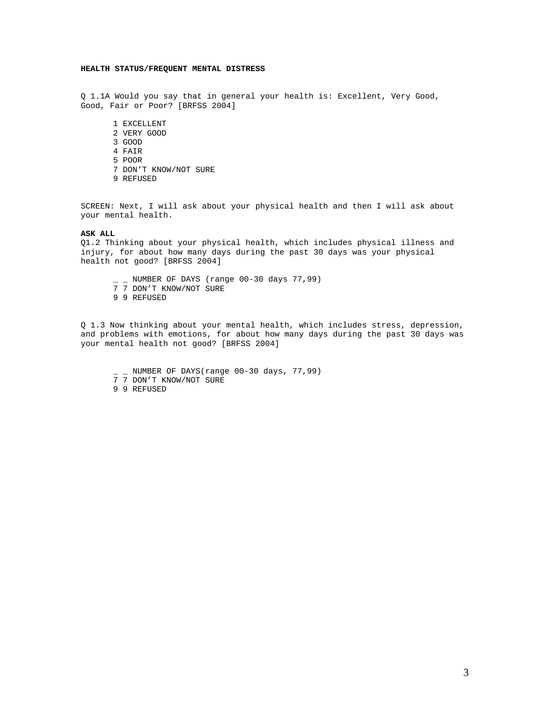### **HEALTH STATUS/FREQUENT MENTAL DISTRESS**

Q 1.1A Would you say that in general your health is: Excellent, Very Good, Good, Fair or Poor? [BRFSS 2004]

1 EXCELLENT 2 VERY GOOD 3 GOOD 4 FAIR 5 POOR 7 DON'T KNOW/NOT SURE 9 REFUSED

SCREEN: Next, I will ask about your physical health and then I will ask about your mental health.

#### **ASK ALL**

Q1.2 Thinking about your physical health, which includes physical illness and injury, for about how many days during the past 30 days was your physical health not good? [BRFSS 2004]

\_ \_ NUMBER OF DAYS (range 00-30 days 77,99) 7 7 DON'T KNOW/NOT SURE 9 9 REFUSED

Q 1.3 Now thinking about your mental health, which includes stress, depression, and problems with emotions, for about how many days during the past 30 days was your mental health not good? [BRFSS 2004]

\_ \_ NUMBER OF DAYS(range 00-30 days, 77,99) 7 7 DON'T KNOW/NOT SURE 9 9 REFUSED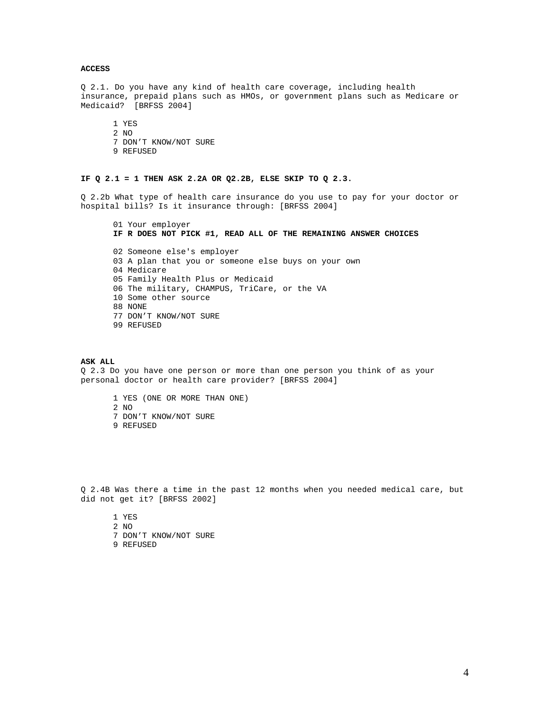## **ACCESS**

Q 2.1. Do you have any kind of health care coverage, including health insurance, prepaid plans such as HMOs, or government plans such as Medicare or Medicaid? [BRFSS 2004]

1 YES 2 NO 7 DON'T KNOW/NOT SURE 9 REFUSED

## **IF Q 2.1 = 1 THEN ASK 2.2A OR Q2.2B, ELSE SKIP TO Q 2.3.**

Q 2.2b What type of health care insurance do you use to pay for your doctor or hospital bills? Is it insurance through: [BRFSS 2004]

01 Your employer **IF R DOES NOT PICK #1, READ ALL OF THE REMAINING ANSWER CHOICES**  02 Someone else's employer 03 A plan that you or someone else buys on your own 04 Medicare 05 Family Health Plus or Medicaid 06 The military, CHAMPUS, TriCare, or the VA 10 Some other source 88 NONE 77 DON'T KNOW/NOT SURE 99 REFUSED

### **ASK ALL**

Q 2.3 Do you have one person or more than one person you think of as your personal doctor or health care provider? [BRFSS 2004]

1 YES (ONE OR MORE THAN ONE) 2 NO 7 DON'T KNOW/NOT SURE 9 REFUSED

Q 2.4B Was there a time in the past 12 months when you needed medical care, but did not get it? [BRFSS 2002]

1 YES 2 NO 7 DON'T KNOW/NOT SURE 9 REFUSED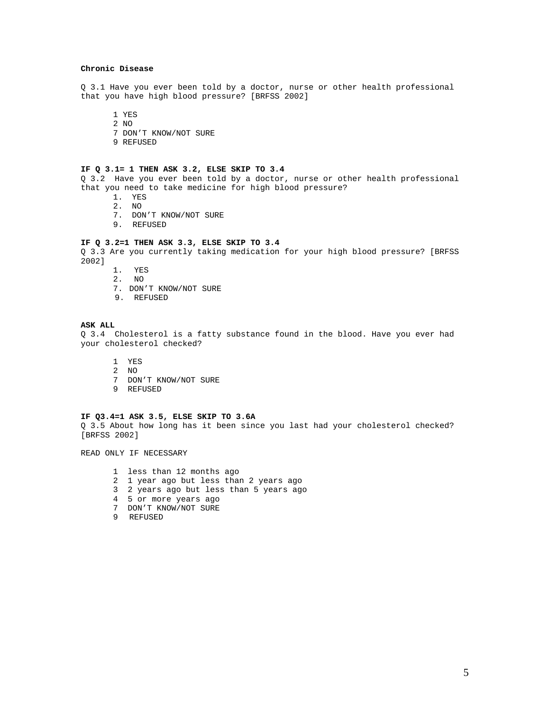## **Chronic Disease**

Q 3.1 Have you ever been told by a doctor, nurse or other health professional that you have high blood pressure? [BRFSS 2002]

1 YES

- 2 NO
- 7 DON'T KNOW/NOT SURE
- 9 REFUSED

## **IF Q 3.1= 1 THEN ASK 3.2, ELSE SKIP TO 3.4**

Q 3.2 Have you ever been told by a doctor, nurse or other health professional that you need to take medicine for high blood pressure?

- 1. YES
- 2. NO
- 7. DON'T KNOW/NOT SURE
- 9. REFUSED

## **IF Q 3.2=1 THEN ASK 3.3, ELSE SKIP TO 3.4**

Q 3.3 Are you currently taking medication for your high blood pressure? [BRFSS 2002]

- 1. YES
- 2. NO
- 7. DON'T KNOW/NOT SURE
- 9. REFUSED

## **ASK ALL**

Q 3.4 Cholesterol is a fatty substance found in the blood. Have you ever had your cholesterol checked?

- 1 YES
- 2 NO
- 7 DON'T KNOW/NOT SURE
- 9 REFUSED

## **IF Q3.4=1 ASK 3.5, ELSE SKIP TO 3.6A**

Q 3.5 About how long has it been since you last had your cholesterol checked? [BRFSS 2002]

READ ONLY IF NECESSARY

- 1 less than 12 months ago
- 2 1 year ago but less than 2 years ago
- 3 2 years ago but less than 5 years ago
- 4 5 or more years ago
- 7 DON'T KNOW/NOT SURE
- 9 REFUSED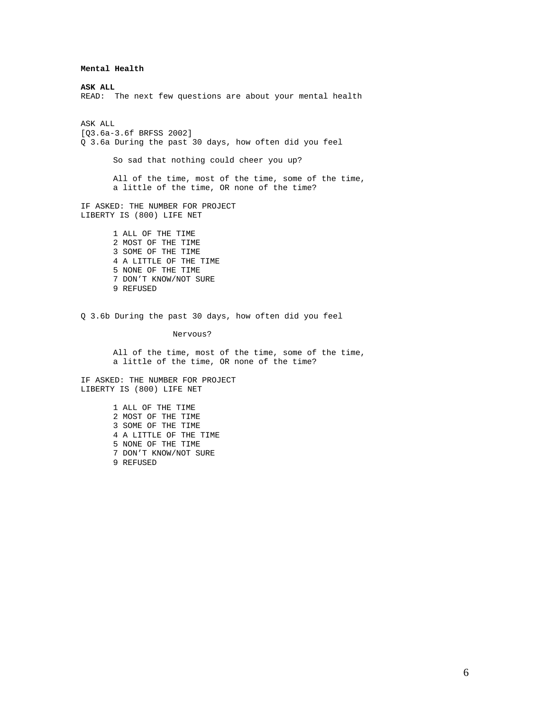**Mental Health** 

**ASK ALL**  READ: The next few questions are about your mental health ASK ALL [Q3.6a-3.6f BRFSS 2002] Q 3.6a During the past 30 days, how often did you feel So sad that nothing could cheer you up? All of the time, most of the time, some of the time, a little of the time, OR none of the time? IF ASKED: THE NUMBER FOR PROJECT LIBERTY IS (800) LIFE NET 1 ALL OF THE TIME 2 MOST OF THE TIME 3 SOME OF THE TIME 4 A LITTLE OF THE TIME 5 NONE OF THE TIME 7 DON'T KNOW/NOT SURE 9 REFUSED

Q 3.6b During the past 30 days, how often did you feel

Nervous?

All of the time, most of the time, some of the time, a little of the time, OR none of the time?

IF ASKED: THE NUMBER FOR PROJECT LIBERTY IS (800) LIFE NET

> 1 ALL OF THE TIME 2 MOST OF THE TIME 3 SOME OF THE TIME 4 A LITTLE OF THE TIME 5 NONE OF THE TIME 7 DON'T KNOW/NOT SURE 9 REFUSED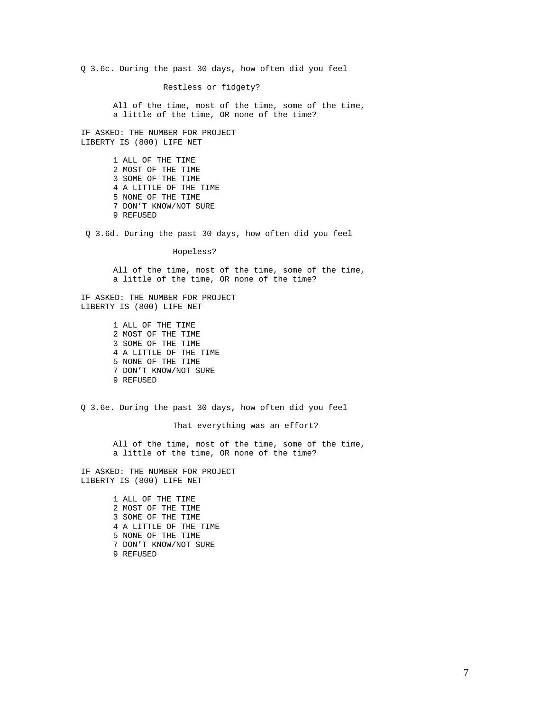Q 3.6c. During the past 30 days, how often did you feel

Restless or fidgety?

All of the time, most of the time, some of the time, a little of the time, OR none of the time?

IF ASKED: THE NUMBER FOR PROJECT LIBERTY IS (800) LIFE NET

> 1 ALL OF THE TIME 2 MOST OF THE TIME 3 SOME OF THE TIME 4 A LITTLE OF THE TIME 5 NONE OF THE TIME 7 DON'T KNOW/NOT SURE 9 REFUSED

Q 3.6d. During the past 30 days, how often did you feel

Hopeless?

All of the time, most of the time, some of the time, a little of the time, OR none of the time?

IF ASKED: THE NUMBER FOR PROJECT LIBERTY IS (800) LIFE NET

> 1 ALL OF THE TIME 2 MOST OF THE TIME 3 SOME OF THE TIME 4 A LITTLE OF THE TIME 5 NONE OF THE TIME 7 DON'T KNOW/NOT SURE 9 REFUSED

Q 3.6e. During the past 30 days, how often did you feel

That everything was an effort?

All of the time, most of the time, some of the time, a little of the time, OR none of the time?

IF ASKED: THE NUMBER FOR PROJECT LIBERTY IS (800) LIFE NET

> 1 ALL OF THE TIME 2 MOST OF THE TIME 3 SOME OF THE TIME 4 A LITTLE OF THE TIME 5 NONE OF THE TIME 7 DON'T KNOW/NOT SURE 9 REFUSED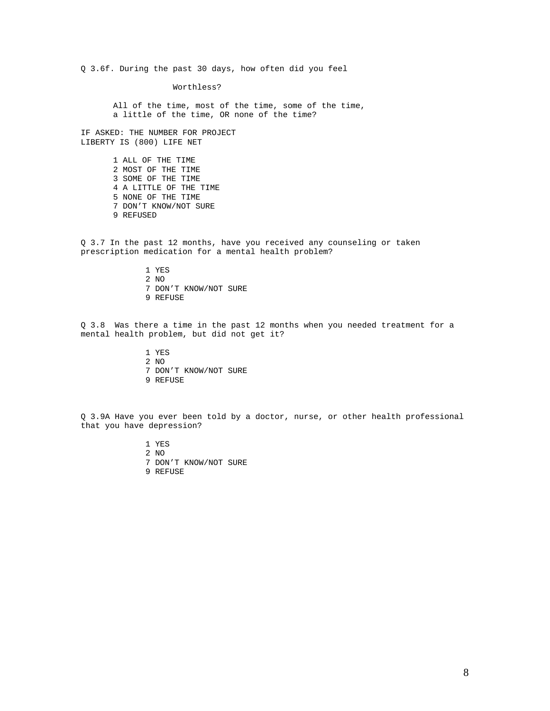Q 3.6f. During the past 30 days, how often did you feel

Worthless?

All of the time, most of the time, some of the time, a little of the time, OR none of the time?

IF ASKED: THE NUMBER FOR PROJECT LIBERTY IS (800) LIFE NET

> 1 ALL OF THE TIME 2 MOST OF THE TIME 3 SOME OF THE TIME 4 A LITTLE OF THE TIME 5 NONE OF THE TIME 7 DON'T KNOW/NOT SURE 9 REFUSED

Q 3.7 In the past 12 months, have you received any counseling or taken prescription medication for a mental health problem?

> 1 YES 2 NO 7 DON'T KNOW/NOT SURE 9 REFUSE

Q 3.8 Was there a time in the past 12 months when you needed treatment for a mental health problem, but did not get it?

> 1 YES 2 NO 7 DON'T KNOW/NOT SURE 9 REFUSE

Q 3.9A Have you ever been told by a doctor, nurse, or other health professional that you have depression?

- 1 YES
- 2 NO
- 7 DON'T KNOW/NOT SURE
- 9 REFUSE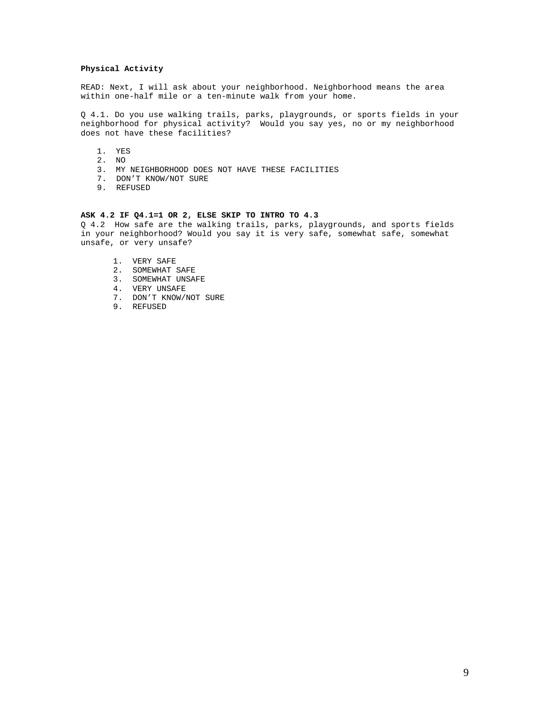## **Physical Activity**

READ: Next, I will ask about your neighborhood. Neighborhood means the area within one-half mile or a ten-minute walk from your home*.* 

Q 4.1. Do you use walking trails, parks, playgrounds, or sports fields in your neighborhood for physical activity? Would you say yes, no or my neighborhood does not have these facilities?

- 1. YES
- 2. NO
- 3. MY NEIGHBORHOOD DOES NOT HAVE THESE FACILITIES
- 7. DON'T KNOW/NOT SURE
- 9. REFUSED

## **ASK 4.2 IF Q4.1=1 OR 2, ELSE SKIP TO INTRO TO 4.3**

Q 4.2 How safe are the walking trails, parks, playgrounds, and sports fields in your neighborhood? Would you say it is very safe, somewhat safe, somewhat unsafe, or very unsafe?

- 1. VERY SAFE
- 2. SOMEWHAT SAFE
- 3. SOMEWHAT UNSAFE
- 4. VERY UNSAFE
- 7. DON'T KNOW/NOT SURE
- 9. REFUSED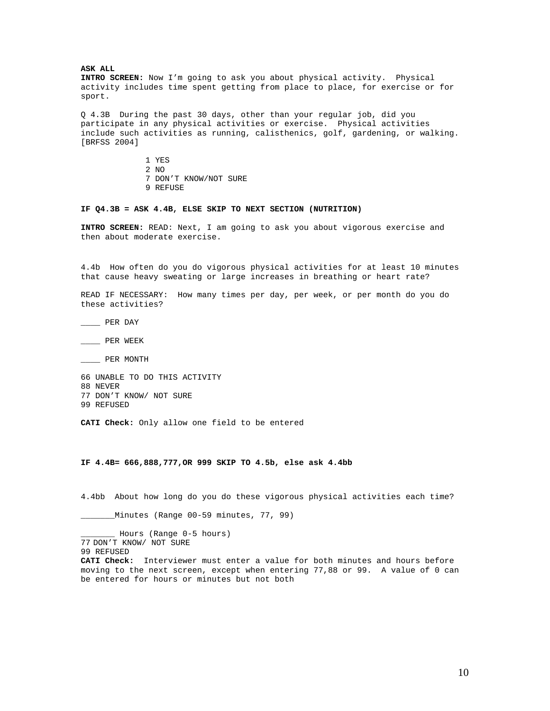**ASK ALL INTRO SCREEN:** Now I'm going to ask you about physical activity. Physical activity includes time spent getting from place to place, for exercise or for sport.

Q 4.3B During the past 30 days, other than your regular job, did you participate in any physical activities or exercise. Physical activities include such activities as running, calisthenics, golf, gardening, or walking. [BRFSS 2004]

> 1 YES 2 NO 7 DON'T KNOW/NOT SURE 9 REFUSE

#### **IF Q4.3B = ASK 4.4B, ELSE SKIP TO NEXT SECTION (NUTRITION)**

**INTRO SCREEN:** READ: Next, I am going to ask you about vigorous exercise and then about moderate exercise.

4.4b How often do you do vigorous physical activities for at least 10 minutes that cause heavy sweating or large increases in breathing or heart rate?

READ IF NECESSARY: How many times per day, per week, or per month do you do these activities?

\_\_\_\_ PER DAY

\_\_\_\_ PER WEEK

\_\_\_\_ PER MONTH

66 UNABLE TO DO THIS ACTIVITY 88 NEVER 77 DON'T KNOW/ NOT SURE 99 REFUSED

**CATI Check:** Only allow one field to be entered

#### **IF 4.4B= 666,888,777,OR 999 SKIP TO 4.5b, else ask 4.4bb**

4.4bb About how long do you do these vigorous physical activities each time?

\_\_\_\_\_\_\_Minutes (Range 00-59 minutes, 77, 99)

\_\_\_\_\_\_\_ Hours (Range 0-5 hours)

77 DON'T KNOW/ NOT SURE

99 REFUSED

**CATI Check:** Interviewer must enter a value for both minutes and hours before moving to the next screen, except when entering 77,88 or 99. A value of 0 can be entered for hours or minutes but not both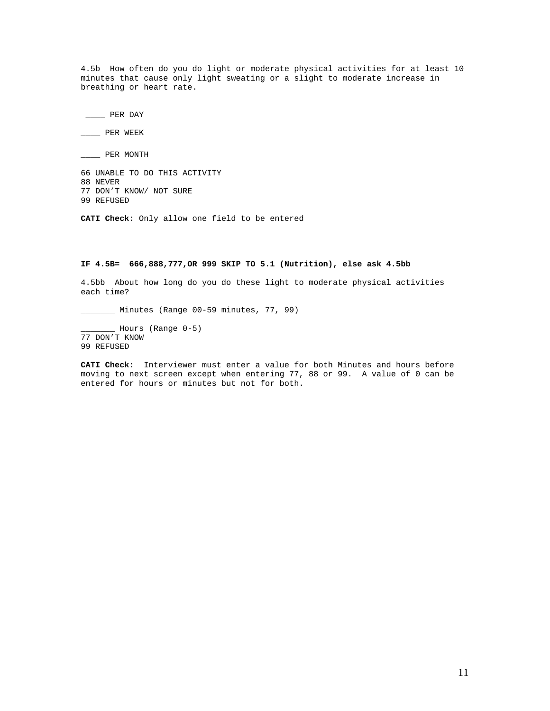4.5b How often do you do light or moderate physical activities for at least 10 minutes that cause only light sweating or a slight to moderate increase in breathing or heart rate.

\_\_\_\_ PER DAY

\_\_\_\_ PER WEEK

\_\_\_\_ PER MONTH

66 UNABLE TO DO THIS ACTIVITY 88 NEVER 77 DON'T KNOW/ NOT SURE 99 REFUSED

**CATI Check:** Only allow one field to be entered

## **IF 4.5B= 666,888,777,OR 999 SKIP TO 5.1 (Nutrition), else ask 4.5bb**

4.5bb About how long do you do these light to moderate physical activities each time?

\_\_\_\_\_\_\_ Minutes (Range 00-59 minutes, 77, 99)

\_\_\_\_\_\_\_ Hours (Range 0-5) 77 DON'T KNOW 99 REFUSED

**CATI Check:** Interviewer must enter a value for both Minutes and hours before moving to next screen except when entering 77, 88 or 99. A value of 0 can be entered for hours or minutes but not for both.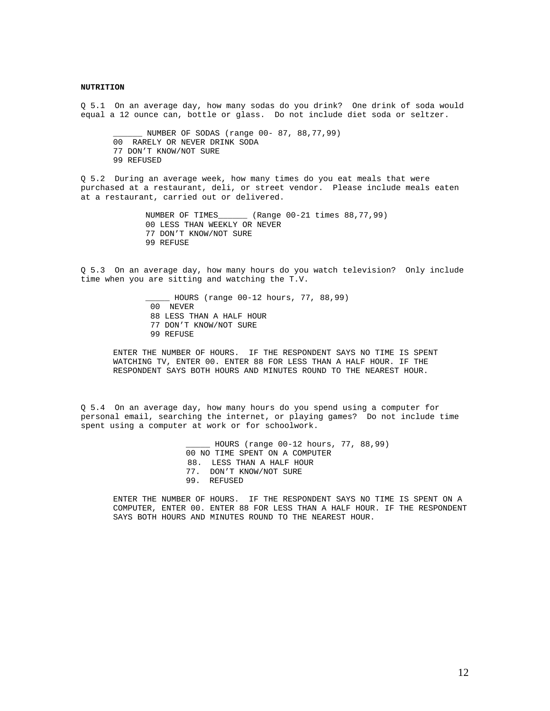#### **NUTRITION**

Q 5.1 On an average day, how many sodas do you drink? One drink of soda would equal a 12 ounce can, bottle or glass. Do not include diet soda or seltzer.

\_\_\_\_\_\_ NUMBER OF SODAS (range 00- 87, 88,77,99) 00 RARELY OR NEVER DRINK SODA 77 DON'T KNOW/NOT SURE 99 REFUSED

Q 5.2 During an average week, how many times do you eat meals that were purchased at a restaurant, deli, or street vendor. Please include meals eaten at a restaurant, carried out or delivered.

> NUMBER OF TIMES\_\_\_\_\_\_ (Range 00-21 times 88,77,99) 00 LESS THAN WEEKLY OR NEVER 77 DON'T KNOW/NOT SURE 99 REFUSE

Q 5.3 On an average day, how many hours do you watch television? Only include time when you are sitting and watching the T.V.

> \_\_\_\_\_ HOURS (range 00-12 hours, 77, 88,99) 00 NEVER 88 LESS THAN A HALF HOUR 77 DON'T KNOW/NOT SURE 99 REFUSE

ENTER THE NUMBER OF HOURS. IF THE RESPONDENT SAYS NO TIME IS SPENT WATCHING TV, ENTER 00. ENTER 88 FOR LESS THAN A HALF HOUR. IF THE RESPONDENT SAYS BOTH HOURS AND MINUTES ROUND TO THE NEAREST HOUR.

Q 5.4 On an average day, how many hours do you spend using a computer for personal email, searching the internet, or playing games? Do not include time spent using a computer at work or for schoolwork.

> \_\_\_\_\_ HOURS (range 00-12 hours, 77, 88,99) 00 NO TIME SPENT ON A COMPUTER 88. LESS THAN A HALF HOUR 77. DON'T KNOW/NOT SURE 99. REFUSED

ENTER THE NUMBER OF HOURS. IF THE RESPONDENT SAYS NO TIME IS SPENT ON A COMPUTER, ENTER 00. ENTER 88 FOR LESS THAN A HALF HOUR. IF THE RESPONDENT SAYS BOTH HOURS AND MINUTES ROUND TO THE NEAREST HOUR.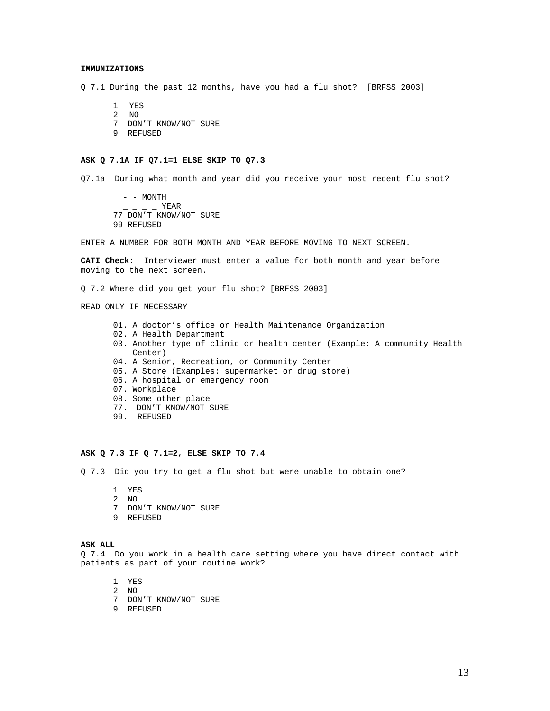## **IMMUNIZATIONS**

Q 7.1 During the past 12 months, have you had a flu shot? [BRFSS 2003]

- 1 YES
- 2 NO
- 7 DON'T KNOW/NOT SURE
- 9 REFUSED

# **ASK Q 7.1A IF Q7.1=1 ELSE SKIP TO Q7.3**

Q7.1a During what month and year did you receive your most recent flu shot?

 - - MONTH  $-$  YEAR 77 DON'T KNOW/NOT SURE 99 REFUSED

ENTER A NUMBER FOR BOTH MONTH AND YEAR BEFORE MOVING TO NEXT SCREEN.

**CATI Check:** Interviewer must enter a value for both month and year before moving to the next screen.

Q 7.2 Where did you get your flu shot? [BRFSS 2003]

READ ONLY IF NECESSARY

- 01. A doctor's office or Health Maintenance Organization
- 02. A Health Department
- 03. Another type of clinic or health center (Example: A community Health Center)
- 04. A Senior, Recreation, or Community Center
- 05. A Store (Examples: supermarket or drug store)
- 06. A hospital or emergency room
- 07. Workplace
- 08. Some other place
- 77. DON'T KNOW/NOT SURE
- 99. REFUSED

### **ASK Q 7.3 IF Q 7.1=2, ELSE SKIP TO 7.4**

Q 7.3 Did you try to get a flu shot but were unable to obtain one?

- 1 YES
- 2 NO
- 7 DON'T KNOW/NOT SURE
- 9 REFUSED

#### **ASK ALL**

Q 7.4 Do you work in a health care setting where you have direct contact with patients as part of your routine work?

- 1 YES
- 2 NO
- 7 DON'T KNOW/NOT SURE
- 9 REFUSED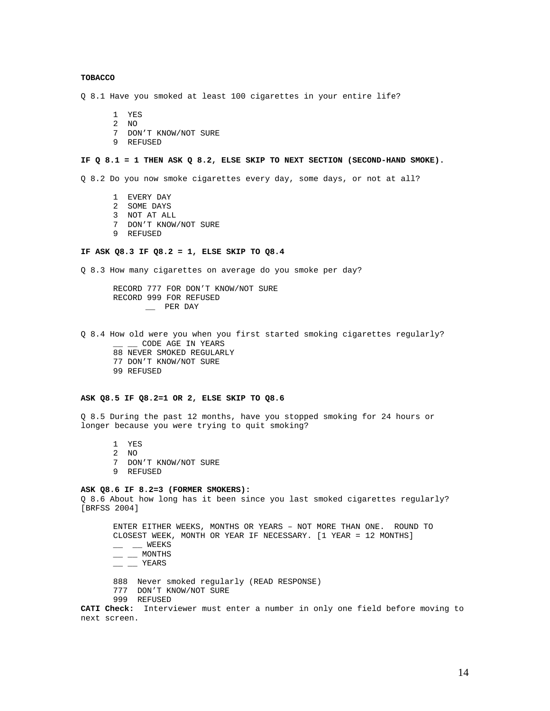## **TOBACCO**

Q 8.1 Have you smoked at least 100 cigarettes in your entire life?

- 1 YES
- 2 NO<br>2 מח
- 7 DON'T KNOW/NOT SURE
- 9 REFUSED

## **IF Q 8.1 = 1 THEN ASK Q 8.2, ELSE SKIP TO NEXT SECTION (SECOND-HAND SMOKE).**

Q 8.2 Do you now smoke cigarettes every day, some days, or not at all?

- 1 EVERY DAY
- 2 SOME DAYS
- 3 NOT AT ALL
- 7 DON'T KNOW/NOT SURE
- 9 REFUSED

## **IF ASK Q8.3 IF Q8.2 = 1, ELSE SKIP TO Q8.4**

Q 8.3 How many cigarettes on average do you smoke per day?

RECORD 777 FOR DON'T KNOW/NOT SURE RECORD 999 FOR REFUSED \_\_ PER DAY

Q 8.4 How old were you when you first started smoking cigarettes regularly? \_\_ \_\_ CODE AGE IN YEARS 88 NEVER SMOKED REGULARLY 77 DON'T KNOW/NOT SURE

99 REFUSED

#### **ASK Q8.5 IF Q8.2=1 OR 2, ELSE SKIP TO Q8.6**

Q 8.5 During the past 12 months, have you stopped smoking for 24 hours or longer because you were trying to quit smoking?

- 1 YES
- 2 NO
- 7 DON'T KNOW/NOT SURE
- 9 REFUSED

## **ASK Q8.6 IF 8.2=3 (FORMER SMOKERS):**

Q 8.6 About how long has it been since you last smoked cigarettes regularly? [BRFSS 2004]

ENTER EITHER WEEKS, MONTHS OR YEARS – NOT MORE THAN ONE. ROUND TO CLOSEST WEEK, MONTH OR YEAR IF NECESSARY. [1 YEAR = 12 MONTHS]  $\overline{\phantom{a}}$   $\overline{\phantom{a}}$  weeks

- 
- $\frac{1}{2}$  MONTHS
- $\_\_$   $\_\_$  YEARS

888 Never smoked regularly (READ RESPONSE)

- 777 DON'T KNOW/NOT SURE
- 999 RE FUSED

**CATI Check:** Interviewer must enter a number in only one field before moving to next screen.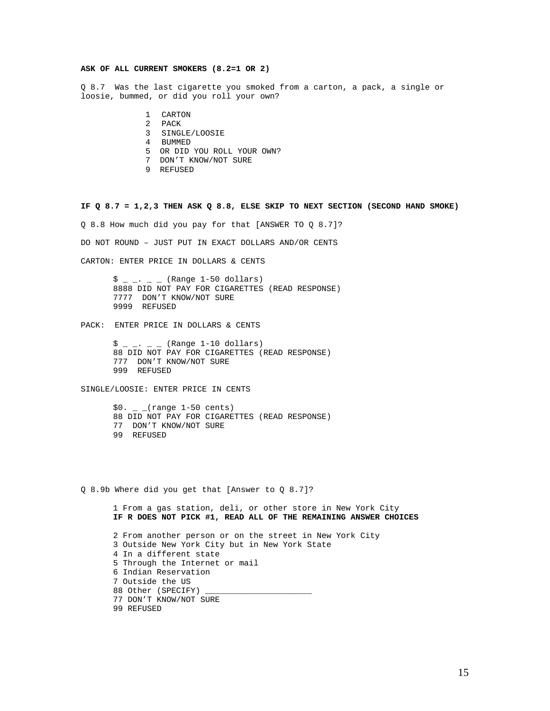## **ASK OF ALL CURRENT SMOKERS (8.2=1 OR 2)**

Q 8.7 Was the last cigarette you smoked from a carton, a pack, a single or loosie, bummed, or did you roll your own?

- 1 CARTON
- 2 PACK<br>3 SING
- 3 SINGLE/LOOSIE
- 4 BUMMED
- 5 OR DID YOU ROLL YOUR OWN?
- 7 DON'T KNOW/NOT SURE
- 9 REFUSED

## **IF Q 8.7 = 1,2,3 THEN ASK Q 8.8, ELSE SKIP TO NEXT SECTION (SECOND HAND SMOKE)**

Q 8.8 How much did you pay for that [ANSWER TO Q 8.7]?

DO NOT ROUND – JUST PUT IN EXACT DOLLARS AND/OR CENTS

CARTON: ENTER PRICE IN DOLLARS & CENTS

 $$ \_ - \_ - \_$  (Range 1-50 dollars) 8888 DID NOT PAY FOR CIGARETTES (READ RESPONSE) 7777 DON'T KNOW/NOT SURE 9999 REFUSED

PACK: ENTER PRICE IN DOLLARS & CENTS

 $$ - - - = (Range 1 - 10 dollars)$ 88 DID NOT PAY FOR CIGARETTES (READ RESPONSE) 777 DON'T KNOW/NOT SURE 999 REFUSED

SINGLE/LOOSIE: ENTER PRICE IN CENTS

 $$0. ($  range 1-50 cents) 88 DID NOT PAY FOR CIGARETTES (READ RESPONSE) 77 DON'T KNOW/NOT SURE 99 REFUSED

Q 8.9b Where did you get that [Answer to Q 8.7]?

1 From a gas station, deli, or other store in New York City **IF R DOES NOT PICK #1, READ ALL OF THE REMAINING ANSWER CHOICES** 2 From another person or on the street in New York City 3 Outside New York City but in New York State 4 In a different state 5 Through the Internet or mail 6 Indian Reservation 7 Outside the US 88 Other (SPECIFY) 77 DON'T KNOW/NOT SURE 99 REFUSED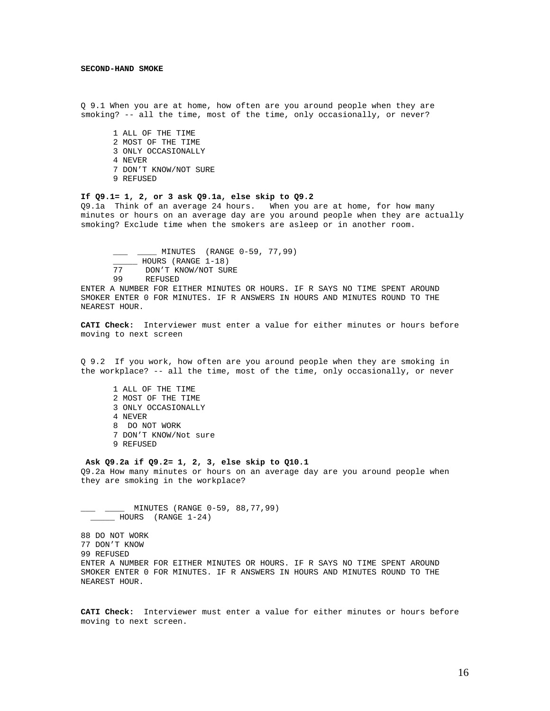Q 9.1 When you are at home, how often are you around people when they are smoking? -- all the time, most of the time, only occasionally, or never?

- 1 ALL OF THE TIME 2 MOST OF THE TIME
- 3 ONLY OCCASIONALLY
- 4 NEVER
- 7 DON'T KNOW/NOT SURE
- 9 REFUSED

## **If Q9.1= 1, 2, or 3 ask Q9.1a, else skip to Q9.2**

Q9.1a Think of an average 24 hours. When you are at home, for how many minutes or hours on an average day are you around people when they are actually smoking? Exclude time when the smokers are asleep or in another room.

\_\_\_ \_\_\_\_ MINUTES (RANGE 0-59, 77,99)

- 
- $\frac{1}{77}$  HOURS (RANGE 1-18)<br>TON'T KNOW/NOT SUP 77 DON'T KNOW/NOT SURE<br>2008 DEEMS
- 99 REFUSED

ENTER A NUMBER FOR EITHER MINUTES OR HOURS. IF R SAYS NO TIME SPENT AROUND SMOKER ENTER 0 FOR MINUTES. IF R ANSWERS IN HOURS AND MINUTES ROUND TO THE NEAREST HOUR.

**CATI Check:** Interviewer must enter a value for either minutes or hours before moving to next screen

Q 9.2 If you work, how often are you around people when they are smoking in the workplace? -- all the time, most of the time, only occasionally, or never

1 ALL OF THE TIME 2 MOST OF THE TIME 3 ONLY OCCASIONALLY 4 NEVER 8 DO NOT WORK 7 DON'T KNOW/Not sure 9 REFUSED

#### **Ask Q9.2a if Q9.2= 1, 2, 3, else skip to Q10.1**

Q9.2a How many minutes or hours on an average day are you around people when they are smoking in the workplace?

\_\_\_ \_\_\_\_ MINUTES (RANGE 0-59, 88,77,99)  $\overline{\phantom{0}}$  HOURS (RANGE 1-24)

88 DO NOT WORK 77 DON'T KNOW 99 REFUSED ENTER A NUMBER FOR EITHER MINUTES OR HOURS. IF R SAYS NO TIME SPENT AROUND SMOKER ENTER 0 FOR MINUTES. IF R ANSWERS IN HOURS AND MINUTES ROUND TO THE NEAREST HOUR.

**CATI Check:** Interviewer must enter a value for either minutes or hours before moving to next screen.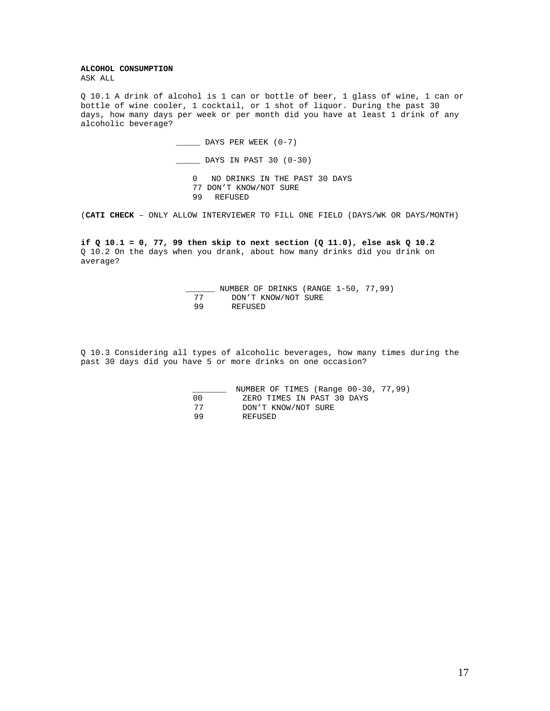**ALCOHOL CONSUMPTION**  ASK ALL

Q 10.1 A drink of alcohol is 1 can or bottle of beer, 1 glass of wine, 1 can or bottle of wine cooler, 1 cocktail, or 1 shot of liquor. During the past 30 days, how many days per week or per month did you have at least 1 drink of any alcoholic beverage?

\_\_\_\_\_ DAYS PER WEEK (0-7)

\_\_\_\_\_ DAYS IN PAST 30 (0-30)

0 NO DRINKS IN THE PAST 30 DAYS 77 DON'T KNOW/NOT SURE 99 REFUSED

(**CATI CHECK** – ONLY ALLOW INTERVIEWER TO FILL ONE FIELD (DAYS/WK OR DAYS/MONTH)

**if Q 10.1 = 0, 77, 99 then skip to next section (Q 11.0), else ask Q 10.2**  Q 10.2 On the days when you drank, about how many drinks did you drink on average?

> WUMBER OF DRINKS (RANGE  $1-50$ , 77,99) 77 DON'T KNOW/NOT SURE<br>99 REFUSED 99 REFUSED

Q 10.3 Considering all types of alcoholic beverages, how many times during the past 30 days did you have 5 or more drinks on one occasion?

|    | NUMBER OF TIMES (Range 00-30, 77,99) |
|----|--------------------------------------|
| 00 | ZERO TIMES IN PAST 30 DAYS           |
| 77 | DON'T KNOW/NOT SURE                  |
| 99 | REFUSED                              |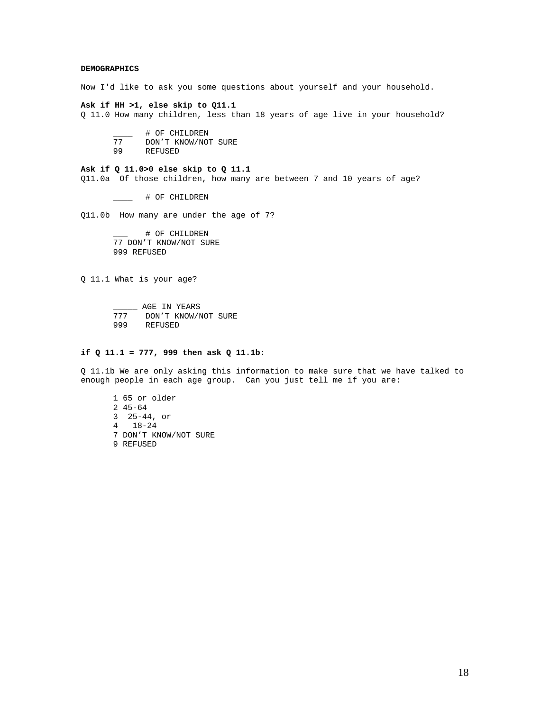### **DEMOGRAPHICS**

Now I'd like to ask you some questions about yourself and your household.

## **Ask if HH >1, else skip to Q11.1**

Q 11.0 How many children, less than 18 years of age live in your household?

- \_\_\_\_ # OF CHILDREN
- 77 DON'T KNOW/NOT SURE
- 99 REFUSED

## **Ask if Q 11.0>0 else skip to Q 11.1**

Q11.0a Of those children, how many are between 7 and 10 years of age?

\_\_\_\_ # OF CHILDREN

Q11.0b How many are under the age of 7?

\_\_\_ # OF CHILDREN 77 DON'T KNOW/NOT SURE 999 REFUSED

Q 11.1 What is your age?

\_\_\_\_\_ AGE IN YEARS 777 DON'T KNOW/NOT SURE 999 REFUSED

## **if Q 11.1 = 777, 999 then ask Q 11.1b:**

Q 11.1b We are only asking this information to make sure that we have talked to enough people in each age group. Can you just tell me if you are:

1 65 or older 2 45-64 3 25-44, or 4 18-24 7 DON'T KNOW/NOT SURE 9 REFUSED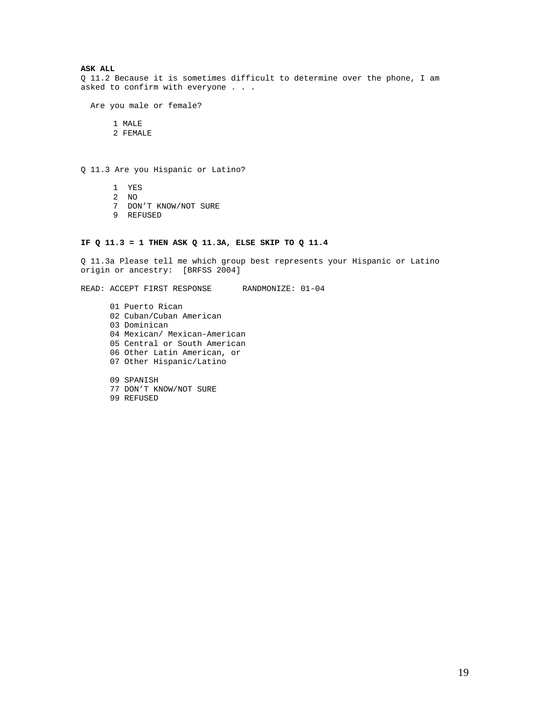### **ASK ALL**

Q 11.2 Because it is sometimes difficult to determine over the phone, I am asked to confirm with everyone . . .

Are you male or female?

1 MALE

2 FEMALE

Q 11.3 Are you Hispanic or Latino?

- 1 YES
- 2 NO
- 7 DON'T KNOW/NOT SURE
- 9 REFUSED

99 REFUSED

## **IF Q 11.3 = 1 THEN ASK Q 11.3A, ELSE SKIP TO Q 11.4**

Q 11.3a Please tell me which group best represents your Hispanic or Latino origin or ancestry: [BRFSS 2004]

READ: ACCEPT FIRST RESPONSE RANDMONIZE: 01-04

 01 Puerto Rican 02 Cuban/Cuban American 03 Dominican 04 Mexican/ Mexican-American 05 Central or South American 06 Other Latin American, or 07 Other Hispanic/Latino 09 SPANISH 77 DON'T KNOW/NOT SURE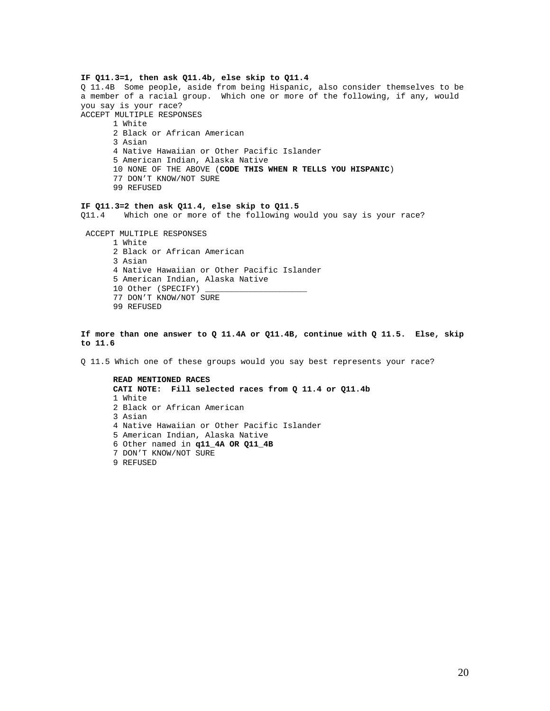**IF Q11.3=1, then ask Q11.4b, else skip to Q11.4**  Q 11.4B Some people, aside from being Hispanic, also consider themselves to be a member of a racial group. Which one or more of the following, if any, would you say is your race? ACCEPT MULTIPLE RESPONSES 1 White 2 Black or African American 3 Asian 4 Native Hawaiian or Other Pacific Islander 5 American Indian, Alaska Native 10 NONE OF THE ABOVE (**CODE THIS WHEN R TELLS YOU HISPANIC**) 77 DON'T KNOW/NOT SURE 99 REFUSED **IF Q11.3=2 then ask Q11.4, else skip to Q11.5**  Q11.4 Which one or more of the following would you say is your race? ACCEPT MULTIPLE RESPONSES 1 White 2 Black or African American

3 Asian 4 Native Hawaiian or Other Pacific Islander 5 American Indian, Alaska Native 10 Other (SPECIFY) 77 DON'T KNOW/NOT SURE 99 REFUSED

**If more than one answer to Q 11.4A or Q11.4B, continue with Q 11.5. Else, skip to 11.6** 

Q 11.5 Which one of these groups would you say best represents your race?

**READ MENTIONED RACES CATI NOTE: Fill selected races from Q 11.4 or Q11.4b**  1 White 2 Black or African American 3 Asian 4 Native Hawaiian or Other Pacific Islander 5 American Indian, Alaska Native 6 Other named in **q11\_4A OR Q11\_4B** 7 DON'T KNOW/NOT SURE 9 REFUSED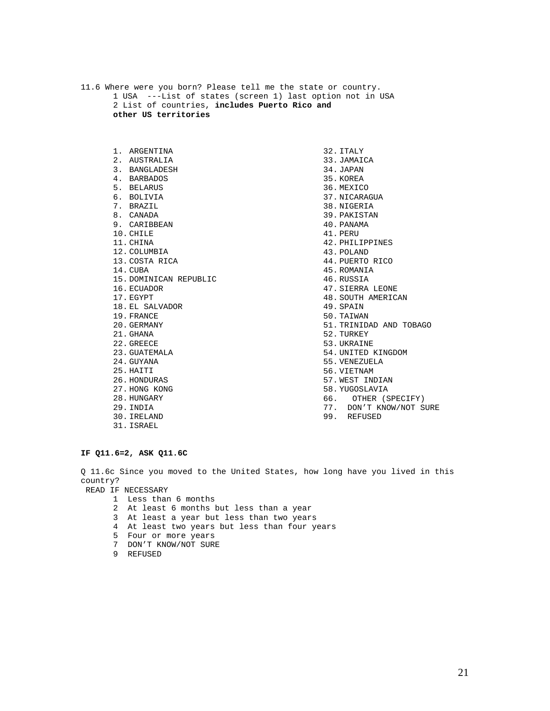11.6 Where were you born? Please tell me the state or country. 1 USA ---List of states (screen 1) last option not in USA 2 List of countries, **includes Puerto Rico and other US territories** 

1. ARGENTINA 2. AUSTRALIA 3. BANGLADESH 4. BARBADOS 5. BELARUS 6. BOLIVIA 7. BRAZIL 8. CANADA 9. CARIBBEAN 10. CHILE 11. CHINA 12. COLUMBIA 13. COSTA RICA 14. CUBA 15. DOMINICAN REPUBLIC 16. ECUADOR 17. EGYPT 18. EL SALVADOR 19. FRANCE 20. GERMANY 21. GHANA 22. GREECE 23. GUATEMALA 24. GUYANA 25. HAITI 26. HONDURAS 27. HONG KONG 28. HUNGARY 29. INDIA 30. IRELAND 31. ISRAEL

32. ITALY 33. JAMAICA 34. JAPAN 35. KOREA 36. MEXICO 37. NICARAGUA 38. NIGERIA 39. PAKISTAN 40. PANAMA 41. PERU 42. PHILIPPINES 43. POLAND 44. PUERTO RICO 45. ROMANIA 46. RUSSIA 47. SIERRA LEONE 48. SOUTH AMERICAN 49. SPAIN 50. TAIWAN 51. TRINIDAD AND TOBAGO 52. TURKEY 53. UKRAINE 54. UNITED KINGDOM 55. VENEZUELA 56. VIETNAM 57. WEST INDIAN 58. YUGOSLAVIA 66. OTHER (SPECIFY) 77. DON'T KNOW/NOT SURE 99. REFUSED

## **IF Q11.6=2, ASK Q11.6C**

Q 11.6c Since you moved to the United States, how long have you lived in this country?

READ IF NECESSARY

- 1 Less than 6 months
- 2 At least 6 months but less than a year
- 3 At least a year but less than two years
- 4 At least two years but less than four years
- 5 Four or more years
- 7 DON'T KNOW/NOT SURE
- 9 REFUSED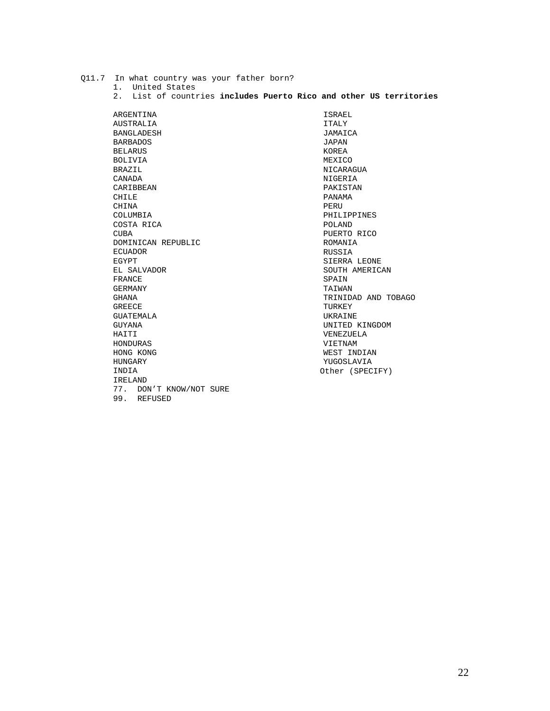Q11.7 In what country was your father born? 1. United States 2. List of countries **includes Puerto Rico and other US territories**  ARGENTINA AUSTRALIA ISRAEL ITALY BANGLADESH BARBADOS BELARUS BOLIVIA BRAZIL CANADA CARIBBEAN CHILE CHINA COLUMBIA COSTA RICA CUBA DOMINICAN REPUBLIC ECUADOR EGYPT EL SALVADOR FRANCE GERMANY GHANA GREECE GUATEMALA GUYANA HAITI HONDURAS HONG KONG HUNGARY INDIA IRELAND JAMAICA JAPAN KOREA MEXICO NICARAGUA NIGERIA PAKISTAN PANAMA PERU PHILIPPINES POLAND PUERTO RICO ROMANIA RUSSIA SIERRA LEONE SOUTH AMERICAN SPAIN TAIWAN TRINIDAD AND TOBAGO TURKEY UKRAINE UNITED KINGDOM VENEZUELA VIETNAM WEST INDIAN YUGOSLAVIA Other (SPECIFY) 77. DON'T KNOW/NOT SURE 99. REFUSED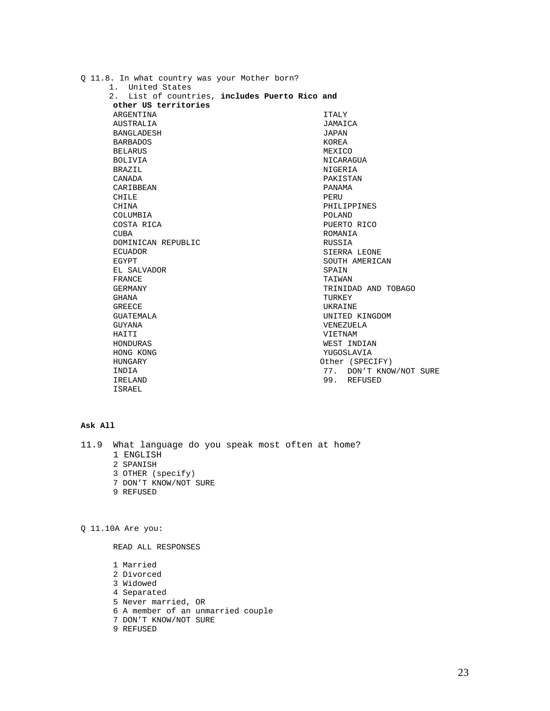| Q 11.8. In what country was your Mother born?                      |                         |
|--------------------------------------------------------------------|-------------------------|
| 1. United States<br>2. List of countries, includes Puerto Rico and |                         |
| other US territories                                               |                         |
| ARGENTINA                                                          | <b>ITALY</b>            |
| <b>AUSTRALIA</b>                                                   | JAMAICA                 |
| <b>BANGLADESH</b>                                                  | JAPAN                   |
| <b>BARBADOS</b>                                                    | KOREA                   |
| <b>BELARUS</b>                                                     | MEXICO                  |
| BOLIVIA                                                            | NICARAGUA               |
| <b>BRAZIL</b>                                                      | NIGERIA                 |
| CANADA                                                             | PAKISTAN                |
| CARIBBEAN                                                          | PANAMA                  |
| <b>CHILE</b>                                                       | PERU                    |
| CHINA                                                              | PHILIPPINES             |
| COLUMBIA                                                           | POLAND                  |
| COSTA RICA                                                         | PUERTO RICO             |
| <b>CUBA</b>                                                        | ROMANIA                 |
| DOMINICAN REPUBLIC                                                 | RUSSIA                  |
| ECUADOR                                                            | SIERRA LEONE            |
| EGYPT                                                              | SOUTH AMERICAN          |
| EL SALVADOR                                                        | SPAIN                   |
| FRANCE                                                             | TAIWAN                  |
| GERMANY                                                            | TRINIDAD AND TOBAGO     |
| GHANA                                                              | TURKEY                  |
| <b>GREECE</b>                                                      | UKRAINE                 |
| <b>GUATEMALA</b>                                                   | UNITED KINGDOM          |
| GUYANA                                                             | VENEZUELA               |
| HAITI                                                              | VIETNAM                 |
| HONDURAS                                                           | WEST INDIAN             |
| HONG KONG                                                          | YUGOSLAVIA              |
| HUNGARY                                                            | Other (SPECIFY)         |
| INDIA                                                              | 77. DON'T KNOW/NOT SURE |
| <b>IRELAND</b>                                                     | 99. REFUSED             |
| <b>ISRAEL</b>                                                      |                         |

# **Ask All**

- 11.9 What language do you speak most often at home? 1 ENGLISH 2 SPANISH 3 OTHER (specify)
	- 7 DON'T KNOW/NOT SURE
	- 9 REFUSED

Q 11.10A Are you:

READ ALL RESPONSES

- 1 Married
- 2 Divorced
- 3 Widowed
- 4 Separated
- 5 Never married, OR
- 6 A member of an unmarried couple
- 7 DON'T KNOW/NOT SURE 9 REFUSED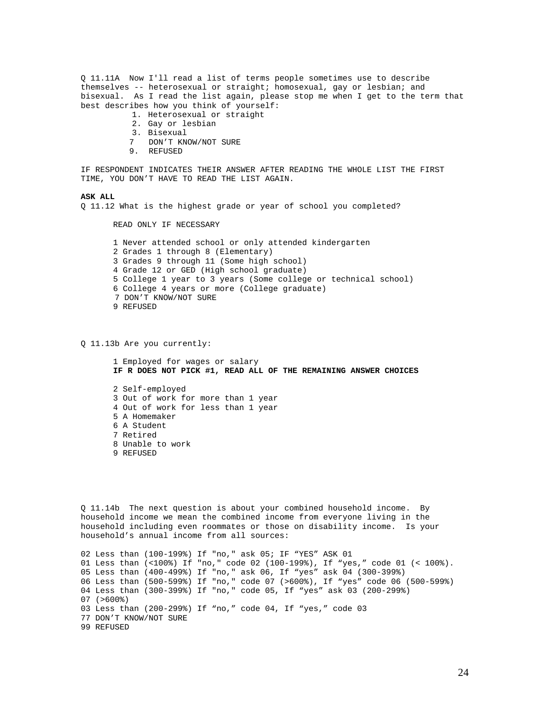Q 11.11A Now I'll read a list of terms people sometimes use to describe themselves -- heterosexual or straight; homosexual, gay or lesbian; and bisexual. As I read the list again, please stop me when I get to the term that best describes how you think of yourself:

- 1. Heterosexual or straight
- 2. Gay or lesbian
- 3. Bisexual<br>7 DON'T KN
- 7 DON'T KNOW/NOT SURE
- 9. REFUSED

IF RESPONDENT INDICATES THEIR ANSWER AFTER READING THE WHOLE LIST THE FIRST TIME, YOU DON'T HAVE TO READ THE LIST AGAIN.

## **ASK ALL**

Q 11.12 What is the highest grade or year of school you completed?

READ ONLY IF NECESSARY

1 Never attended school or only attended kindergarten 2 Grades 1 through 8 (Elementary) 3 Grades 9 through 11 (Some high school) 4 Grade 12 or GED (High school graduate) 5 College 1 year to 3 years (Some college or technical school) 6 College 4 years or more (College graduate) 7 DON'T KNOW/NOT SURE 9 REFUSED

Q 11.13b Are you currently:

1 Employed for wages or salary **IF R DOES NOT PICK #1, READ ALL OF THE REMAINING ANSWER CHOICES**

2 Self-employed 3 Out of work for more than 1 year 4 Out of work for less than 1 year 5 A Homemaker 6 A Student 7 Retired 8 Unable to work 9 REFUSED

Q 11.14b The next question is about your combined household income. By household income we mean the combined income from everyone living in the household including even roommates or those on disability income. Is your household's annual income from all sources:

```
02 Less than (100-199%) If "no," ask 05; IF "YES" ASK 01 
01 Less than (<100%) If "no," code 02 (100-199%), If "yes," code 01 (< 100%). 
05 Less than (400-499%) If "no," ask 06, If "yes" ask 04 (300-399%) 
06 Less than (500-599%) If "no," code 07 (>600%), If "yes" code 06 (500-599%) 
04 Less than (300-399%) If "no," code 05, If "yes" ask 03 (200-299%) 
07 (>600 %)
03 Less than (200-299%) If "no," code 04, If "yes," code 03 
77 DON'T KNOW/NOT SURE 
99 REFUSED
```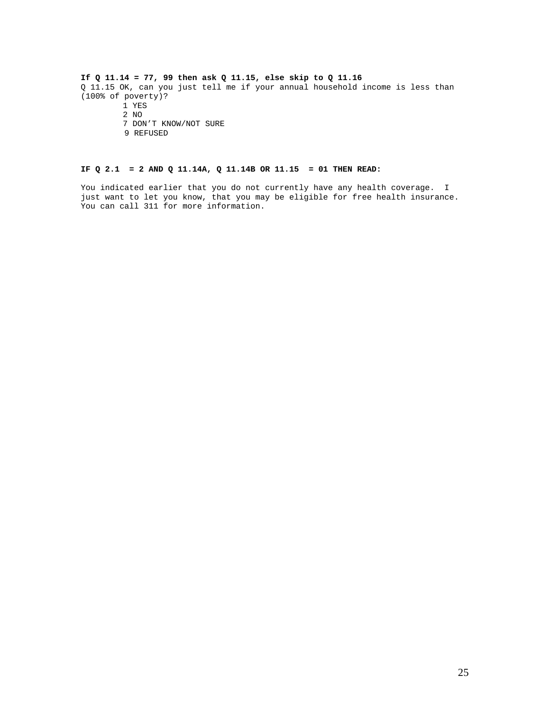```
If Q 11.14 = 77, 99 then ask Q 11.15, else skip to Q 11.16 
Q 11.15 OK, can you just tell me if your annual household income is less than 
(100% of poverty)? 
         1 YES 
          2 NO 
          7 DON'T KNOW/NOT SURE 
          9 REFUSED
```
# **IF Q 2.1 = 2 AND Q 11.14A, Q 11.14B OR 11.15 = 01 THEN READ:**

You indicated earlier that you do not currently have any health coverage. I just want to let you know, that you may be eligible for free health insurance. You can call 311 for more information.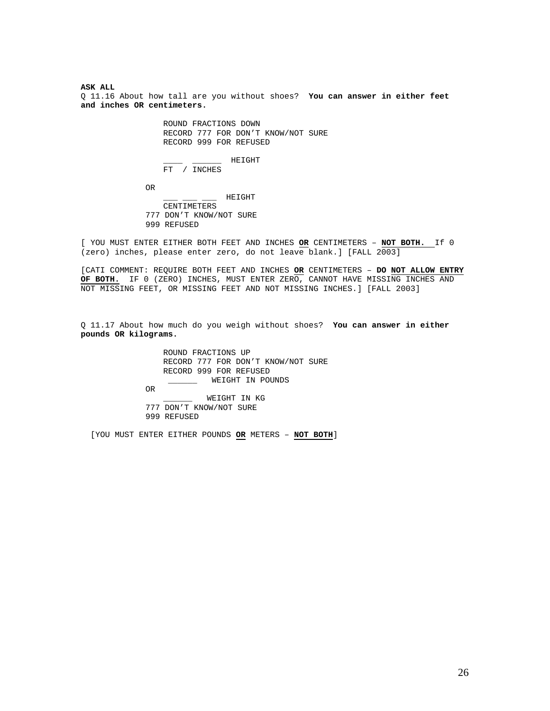**ASK ALL** 

Q 11.16 About how tall are you without shoes? **You can answer in either feet and inches OR centimeters.** 

> ROUND FRACTIONS DOWN RECORD 777 FOR DON'T KNOW/NOT SURE RECORD 999 FOR REFUSED

 \_\_\_\_ \_\_\_\_\_\_ HEIGHT  $\frac{1}{\text{FT}}$  / INCHES

OR

 \_\_\_ \_\_\_ \_\_\_ HEIGHT CENTIMETERS 777 DON'T KNOW/NOT SURE 999 REFUSED

[ YOU MUST ENTER EITHER BOTH FEET AND INCHES **OR** CENTIMETERS – **NOT BOTH.** If 0 (zero) inches, please enter zero, do not leave blank.] [FALL 2003]

[CATI COMMENT: REQUIRE BOTH FEET AND INCHES **OR** CENTIMETERS – **DO NOT ALLOW ENTRY OF BOTH.** IF 0 (ZERO) INCHES, MUST ENTER ZERO, CANNOT HAVE MISSING INCHES AND NOT MISSING FEET, OR MISSING FEET AND NOT MISSING INCHES.] [FALL 2003]

Q 11.17 About how much do you weigh without shoes? **You can answer in either pounds OR kilograms.** 

> ROUND FRACTIONS UP RECORD 777 FOR DON'T KNOW/NOT SURE RECORD 999 FOR REFUSED \_\_\_\_\_\_ WEIGHT IN POUNDS OR \_\_\_\_\_\_ WEIGHT IN KG 777 DON'T KNOW/NOT SURE 999 REFUSED

[YOU MUST ENTER EITHER POUNDS **OR** METERS – **NOT BOTH**]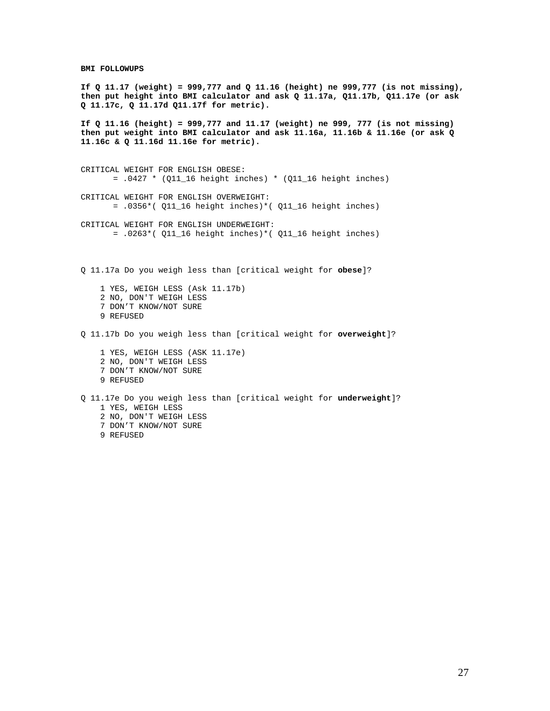### **BMI FOLLOWUPS**

**If Q 11.17 (weight) = 999,777 and Q 11.16 (height) ne 999,777 (is not missing), then put height into BMI calculator and ask Q 11.17a, Q11.17b, Q11.17e (or ask Q 11.17c, Q 11.17d Q11.17f for metric). If Q 11.16 (height) = 999,777 and 11.17 (weight) ne 999, 777 (is not missing) then put weight into BMI calculator and ask 11.16a, 11.16b & 11.16e (or ask Q 11.16c & Q 11.16d 11.16e for metric).**  CRITICAL WEIGHT FOR ENGLISH OBESE:  $= .0427$  \* (Q11\_16 height inches) \* (Q11\_16 height inches) CRITICAL WEIGHT FOR ENGLISH OVERWEIGHT: = .0356\*( Q11\_16 height inches)\*( Q11\_16 height inches) CRITICAL WEIGHT FOR ENGLISH UNDERWEIGHT: = .0263\*( Q11\_16 height inches)\*( Q11\_16 height inches) Q 11.17a Do you weigh less than [critical weight for **obese**]? 1 YES, WEIGH LESS (Ask 11.17b) 2 NO, DON'T WEIGH LESS 7 DON'T KNOW/NOT SURE 9 REFUSED Q 11.17b Do you weigh less than [critical weight for **overweight**]? 1 YES, WEIGH LESS (ASK 11.17e) 2 NO, DON'T WEIGH LESS 7 DON'T KNOW/NOT SURE 9 REFUSED Q 11.17e Do you weigh less than [critical weight for **underweight**]? 1 YES, WEIGH LESS 2 NO, DON'T WEIGH LESS 7 DON'T KNOW/NOT SURE 9 REFUSED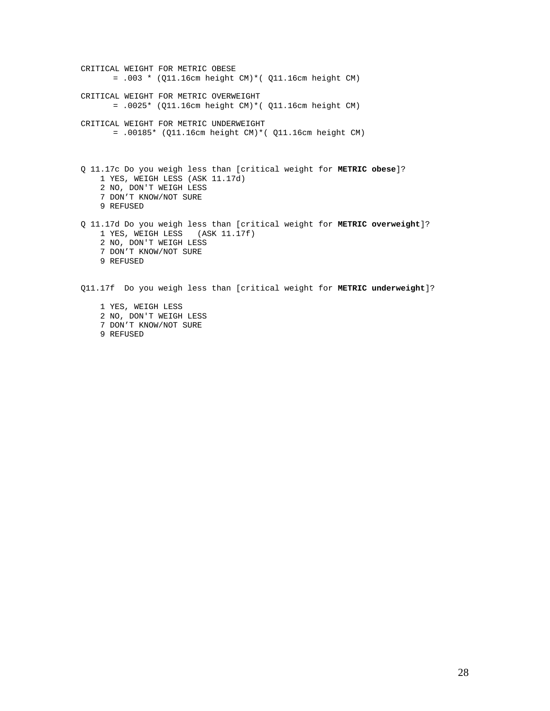CRITICAL WEIGHT FOR METRIC OBESE = .003 \* (Q11.16cm height CM)\*( Q11.16cm height CM) CRITICAL WEIGHT FOR METRIC OVERWEIGHT = .0025\* (Q11.16cm height CM)\*( Q11.16cm height CM) CRITICAL WEIGHT FOR METRIC UNDERWEIGHT = .00185\* (Q11.16cm height CM)\*( Q11.16cm height CM) Q 11.17c Do you weigh less than [critical weight for **METRIC obese**]? 1 YES, WEIGH LESS (ASK 11.17d) 2 NO, DON'T WEIGH LESS 7 DON'T KNOW/NOT SURE 9 REFUSED Q 11.17d Do you weigh less than [critical weight for **METRIC overweight**]? 1 YES, WEIGH LESS (ASK 11.17f) 2 NO, DON'T WEIGH LESS 7 DON'T KNOW/NOT SURE 9 REFUSED Q11.17f Do you weigh less than [critical weight for **METRIC underweight**]? 1 YES, WEIGH LESS

 2 NO, DON'T WEIGH LESS 7 DON'T KNOW/NOT SURE 9 REFUSED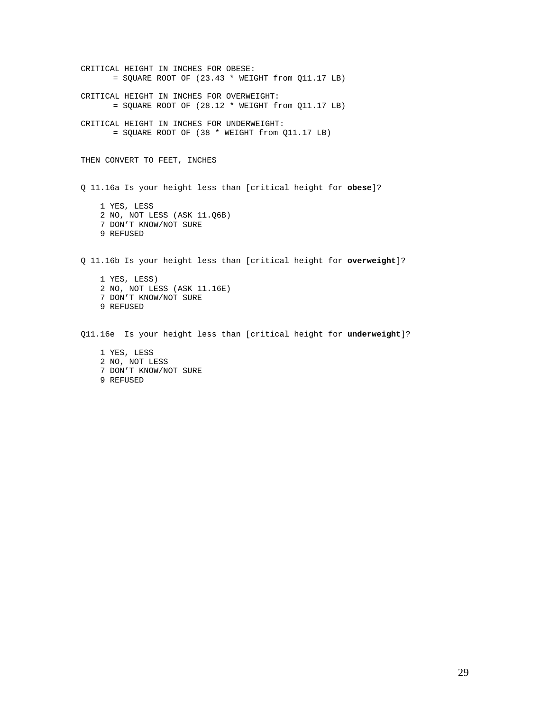```
CRITICAL HEIGHT IN INCHES FOR OBESE: 
       = SQUARE ROOT OF (23.43 * WEIGHT from Q11.17 LB) 
CRITICAL HEIGHT IN INCHES FOR OVERWEIGHT: 
      = SQUARE ROOT OF (28.12 * WEIGHT from Q11.17 LB) 
CRITICAL HEIGHT IN INCHES FOR UNDERWEIGHT: 
       = SQUARE ROOT OF (38 * WEIGHT from Q11.17 LB) 
THEN CONVERT TO FEET, INCHES 
Q 11.16a Is your height less than [critical height for obese]? 
     1 YES, LESS 
     2 NO, NOT LESS (ASK 11.Q6B) 
     7 DON'T KNOW/NOT SURE 
     9 REFUSED 
Q 11.16b Is your height less than [critical height for overweight]? 
     1 YES, LESS) 
     2 NO, NOT LESS (ASK 11.16E) 
     7 DON'T KNOW/NOT SURE 
     9 REFUSED 
Q11.16e Is your height less than [critical height for underweight]?
```
 1 YES, LESS 2 NO, NOT LESS 7 DON'T KNOW/NOT SURE 9 REFUSED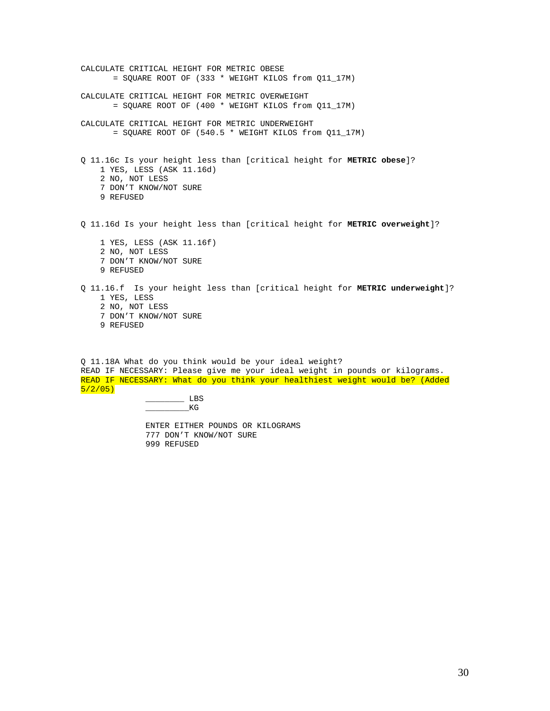CALCULATE CRITICAL HEIGHT FOR METRIC OBESE = SQUARE ROOT OF (333 \* WEIGHT KILOS from Q11\_17M) CALCULATE CRITICAL HEIGHT FOR METRIC OVERWEIGHT = SQUARE ROOT OF (400 \* WEIGHT KILOS from Q11\_17M) CALCULATE CRITICAL HEIGHT FOR METRIC UNDERWEIGHT = SQUARE ROOT OF (540.5 \* WEIGHT KILOS from Q11\_17M) Q 11.16c Is your height less than [critical height for **METRIC obese**]? 1 YES, LESS (ASK 11.16d) 2 NO, NOT LESS 7 DON'T KNOW/NOT SURE 9 REFUSED Q 11.16d Is your height less than [critical height for **METRIC overweight**]? 1 YES, LESS (ASK 11.16f) 2 NO, NOT LESS 7 DON'T KNOW/NOT SURE 9 REFUSED Q 11.16.f Is your height less than [critical height for **METRIC underweight**]? 1 YES, LESS 2 NO, NOT LESS 7 DON'T KNOW/NOT SURE 9 REFUSED

Q 11.18A What do you think would be your ideal weight? READ IF NECESSARY: Please give me your ideal weight in pounds or kilograms. READ IF NECESSARY: What do you think your healthiest weight would be? (Added  $5/2/05$ 

 $\overline{\phantom{a}}$  LBS \_\_\_\_\_\_\_\_\_KG

> ENTER EITHER POUNDS OR KILOGRAMS 777 DON'T KNOW/NOT SURE 999 REFUSED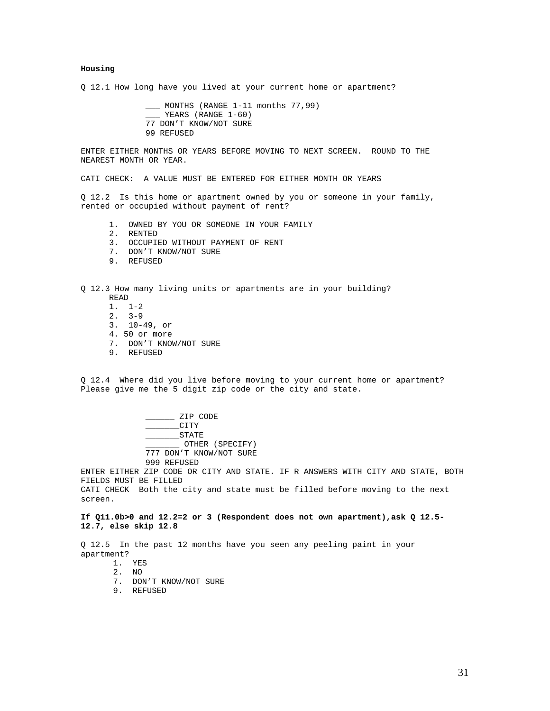## **Housing**

Q 12.1 How long have you lived at your current home or apartment?

```
 ___ MONTHS (RANGE 1-11 months 77,99) 
   ___ YEARS (RANGE 1-60) 
 77 DON'T KNOW/NOT SURE 
 99 REFUSED
```
ENTER EITHER MONTHS OR YEARS BEFORE MOVING TO NEXT SCREEN. ROUND TO THE NEAREST MONTH OR YEAR.

CATI CHECK: A VALUE MUST BE ENTERED FOR EITHER MONTH OR YEARS

Q 12.2 Is this home or apartment owned by you or someone in your family, rented or occupied without payment of rent?

- 1. OWNED BY YOU OR SOMEONE IN YOUR FAMILY
- 2. RENTED
- 3. OCCUPIED WITHOUT PAYMENT OF RENT
- 7. DON'T KNOW/NOT SURE
- 9. REFUSED

Q 12.3 How many living units or apartments are in your building?

- READ
- 1. 1-2
- 2. 3-9
- 3. 10-49, or
- 4. 50 or more
- 7. DON'T KNOW/NOT SURE
- 9. REFUSED

Q 12.4 Where did you live before moving to your current home or apartment? Please give me the 5 digit zip code or the city and state.

> \_\_\_\_\_\_ ZIP CODE  $\_$ CITY  $\rule{1em}{0.15mm} \begin{picture}(180,10) \put(0,0){\dashbox{0.15mm} \put(10,0){\dashbox{0.15mm} \put(10,0){\dashbox{0.15mm} \put(10,0){\dashbox{0.15mm} \put(10,0){\dashbox{0.15mm} \put(10,0){\dashbox{0.15mm} \put(10,0){\dashbox{0.15mm} \put(10,0){\dashbox{0.15mm} \put(10,0){\dashbox{0.15mm} \put(10,0){\dashbox{0.15mm} \put(10,0){\dashbox{0.15mm$ \_ OTHER (SPECIFY) 777 DON'T KNOW/NOT SURE 999 REFUSED

ENTER EITHER ZIP CODE OR CITY AND STATE. IF R ANSWERS WITH CITY AND STATE, BOTH FIELDS MUST BE FILLED CATI CHECK Both the city and state must be filled before moving to the next screen.

**If Q11.0b>0 and 12.2=2 or 3 (Respondent does not own apartment),ask Q 12.5- 12.7, else skip 12.8** 

Q 12.5 In the past 12 months have you seen any peeling paint in your apartment?

- 1. YES
- 2. NO
- 7. DON'T KNOW/NOT SURE
- 9. REFUSED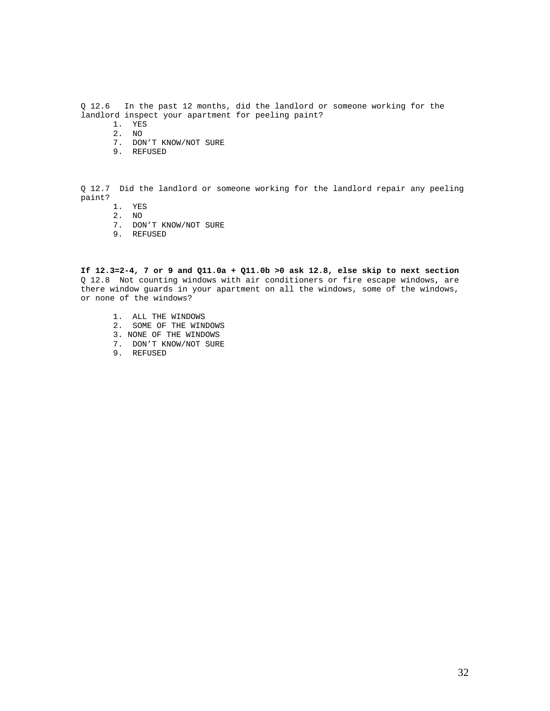Q 12.6 In the past 12 months, did the landlord or someone working for the landlord inspect your apartment for peeling paint?

- 1. YES
	- 2. NO
	- 7. DON'T KNOW/NOT SURE
	- 9. REFUSED

Q 12.7 Did the landlord or someone working for the landlord repair any peeling paint?

- 1. YES
- 2. NO
- 7. DON'T KNOW/NOT SURE
- 9. REFUSED

**If 12.3=2-4, 7 or 9 and Q11.0a + Q11.0b >0 ask 12.8, else skip to next section**  Q 12.8 Not counting windows with air conditioners or fire escape windows, are there window guards in your apartment on all the windows, some of the windows, or none of the windows?

- 1. ALL THE WINDOWS
- 2. SOME OF THE WINDOWS
- 3. NONE OF THE WINDOWS
- 7. DON'T KNOW/NOT SURE
- 9. REFUSED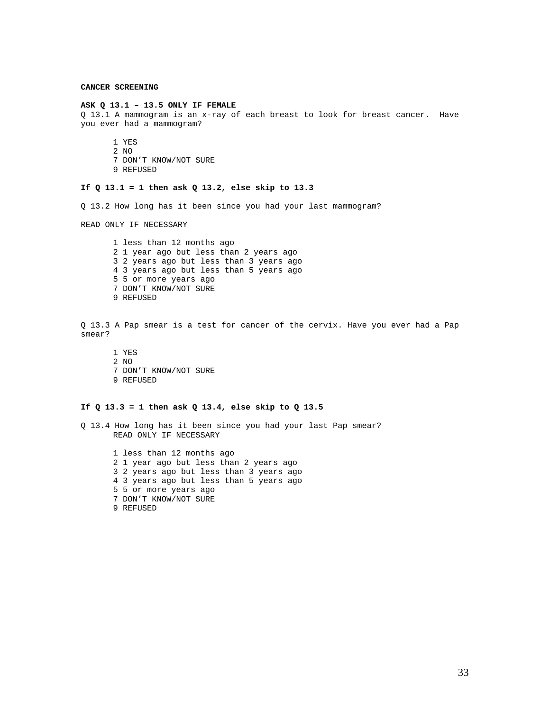**CANCER SCREENING** 

```
ASK Q 13.1 – 13.5 ONLY IF FEMALE
```
Q 13.1 A mammogram is an x-ray of each breast to look for breast cancer. Have you ever had a mammogram?

1 YES 2 NO 7 DON'T KNOW/NOT SURE 9 REFUSED

# **If Q 13.1 = 1 then ask Q 13.2, else skip to 13.3**

Q 13.2 How long has it been since you had your last mammogram?

READ ONLY IF NECESSARY

1 less than 12 months ago 2 1 year ago but less than 2 years ago 3 2 years ago but less than 3 years ago 4 3 years ago but less than 5 years ago 5 5 or more years ago 7 DON'T KNOW/NOT SURE 9 REFUSED

Q 13.3 A Pap smear is a test for cancer of the cervix. Have you ever had a Pap smear?

1 YES 2 NO 7 DON'T KNOW/NOT SURE 9 REFUSED

#### **If Q 13.3 = 1 then ask Q 13.4, else skip to Q 13.5**

Q 13.4 How long has it been since you had your last Pap smear? READ ONLY IF NECESSARY

> 1 less than 12 months ago 2 1 year ago but less than 2 years ago 3 2 years ago but less than 3 years ago 4 3 years ago but less than 5 years ago 5 5 or more years ago 7 DON'T KNOW/NOT SURE 9 REFUSED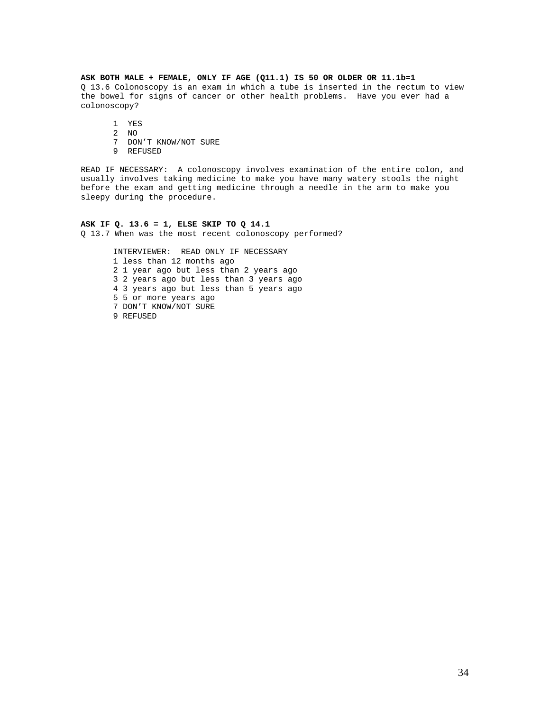## **ASK BOTH MALE + FEMALE, ONLY IF AGE (Q11.1) IS 50 OR OLDER OR 11.1b=1**

Q 13.6 Colonoscopy is an exam in which a tube is inserted in the rectum to view the bowel for signs of cancer or other health problems. Have you ever had a colonoscopy?

- 1 YES
- 2 NO
- 7 DON'T KNOW/NOT SURE
- 9 REFUSED

READ IF NECESSARY: A colonoscopy involves examination of the entire colon, and usually involves taking medicine to make you have many watery stools the night before the exam and getting medicine through a needle in the arm to make you sleepy during the procedure.

### **ASK IF Q. 13.6 = 1, ELSE SKIP TO Q 14.1**

Q 13.7 When was the most recent colonoscopy performed?

INTERVIEWER: READ ONLY IF NECESSARY 1 less than 12 months ago 2 1 year ago but less than 2 years ago 3 2 years ago but less than 3 years ago 4 3 years ago but less than 5 years ago 5 5 or more years ago 7 DON'T KNOW/NOT SURE 9 REFUSED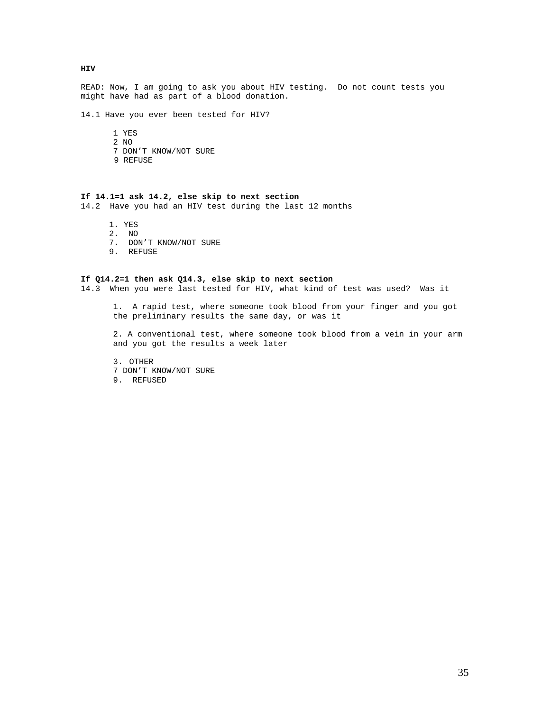**HIV**

READ: Now, I am going to ask you about HIV testing. Do not count tests you might have had as part of a blood donation.

14.1 Have you ever been tested for HIV?

1 YES 2 NO 7 DON'T KNOW/NOT SURE 9 REFUSE

## **If 14.1=1 ask 14.2, else skip to next section**

14.2 Have you had an HIV test during the last 12 months

- 1. YES
- 2. NO
- 7. DON'T KNOW/NOT SURE
- 9. REFUSE

## **If Q14.2=1 then ask Q14.3, else skip to next section**

14.3 When you were last tested for HIV, what kind of test was used? Was it

1. A rapid test, where someone took blood from your finger and you got the preliminary results the same day, or was it

2. A conventional test, where someone took blood from a vein in your arm and you got the results a week later

3. OTHER 7 DON'T KNOW/NOT SURE 9. REFUSED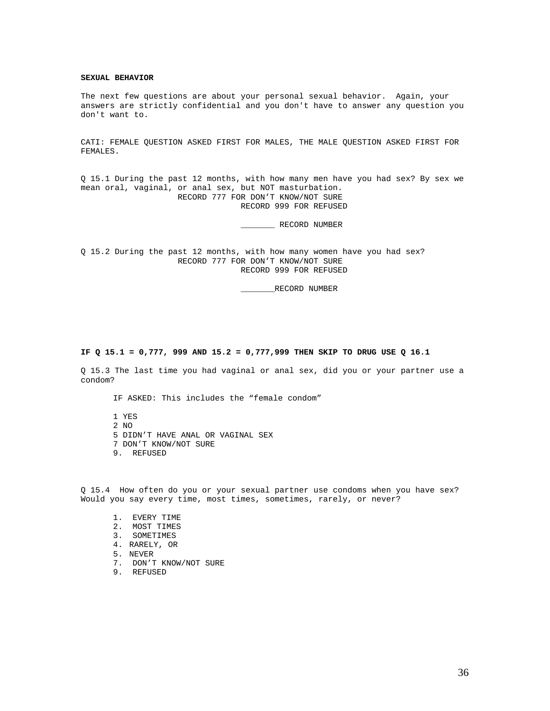#### **SEXUAL BEHAVIOR**

The next few questions are about your personal sexual behavior. Again, your answers are strictly confidential and you don't have to answer any question you don't want to.

CATI: FEMALE QUESTION ASKED FIRST FOR MALES, THE MALE QUESTION ASKED FIRST FOR FEMALES.

Q 15.1 During the past 12 months, with how many men have you had sex? By sex we mean oral, vaginal, or anal sex, but NOT masturbation. RECORD 777 FOR DON'T KNOW/NOT SURE RECORD 999 FOR REFUSED

LACTE RECORD NUMBER

Q 15.2 During the past 12 months, with how many women have you had sex? RECORD 777 FOR DON'T KNOW/NOT SURE RECORD 999 FOR REFUSED

\_\_\_\_\_\_\_RECORD NUMBER

#### **IF Q 15.1 = 0,777, 999 AND 15.2 = 0,777,999 THEN SKIP TO DRUG USE Q 16.1**

Q 15.3 The last time you had vaginal or anal sex, did you or your partner use a condom?

IF ASKED: This includes the "female condom"

1 YES 2 NO 5 DIDN'T HAVE ANAL OR VAGINAL SEX 7 DON'T KNOW/NOT SURE 9. REFUSED

Q 15.4 How often do you or your sexual partner use condoms when you have sex? Would you say every time, most times, sometimes, rarely, or never?

- 1. EVERY TIME
- 2. MOST TIMES
- 3. SOMETIMES
- 4. RARELY, OR
- 5. NEVER
- 7. DON'T KNOW/NOT SURE
- 9. REFUSED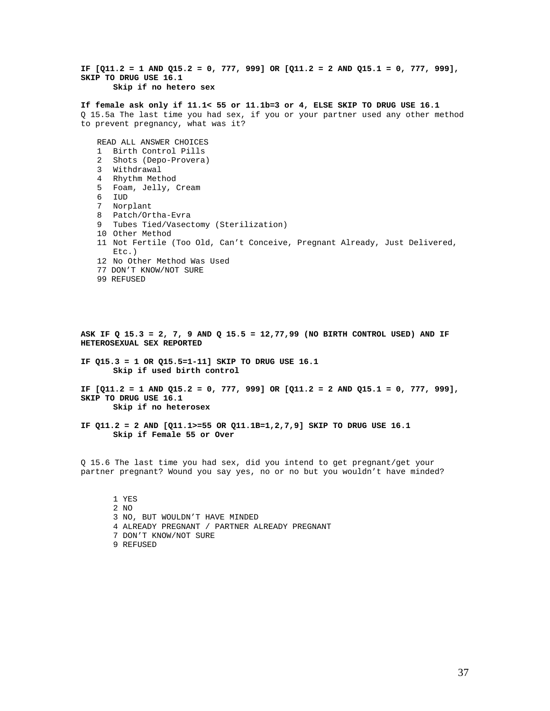```
IF [Q11.2 = 1 AND Q15.2 = 0, 777, 999] OR [Q11.2 = 2 AND Q15.1 = 0, 777, 999], 
SKIP TO DRUG USE 16.1 
      Skip if no hetero sex
```
**If female ask only if 11.1< 55 or 11.1b=3 or 4, ELSE SKIP TO DRUG USE 16.1**  Q 15.5a The last time you had sex, if you or your partner used any other method to prevent pregnancy, what was it?

READ ALL ANSWER CHOICES

- 1 Birth Control Pills
- 2 Shots (Depo-Provera)
- 3 Withdrawal
- 4 Rhythm Method
- 5 Foam, Jelly, Cream
- 6 IUD
- 7 Norplant
- 8 Patch/Ortha-Evra
- 9 Tubes Tied/Vasectomy (Sterilization)
- 10 Other Method
- 11 Not Fertile (Too Old, Can't Conceive, Pregnant Already, Just Delivered, Etc.)
- 12 No Other Method Was Used
- 77 DON'T KNOW/NOT SURE
- 99 REFUSED

**ASK IF Q 15.3 = 2, 7, 9 AND Q 15.5 = 12,77,99 (NO BIRTH CONTROL USED) AND IF HETEROSEXUAL SEX REPORTED** 

**IF Q15.3 = 1 OR Q15.5=1-11] SKIP TO DRUG USE 16.1 Skip if used birth control** 

**IF [Q11.2 = 1 AND Q15.2 = 0, 777, 999] OR [Q11.2 = 2 AND Q15.1 = 0, 777, 999], SKIP TO DRUG USE 16.1 Skip if no heterosex** 

**IF Q11.2 = 2 AND [Q11.1>=55 OR Q11.1B=1,2,7,9] SKIP TO DRUG USE 16.1 Skip if Female 55 or Over** 

Q 15.6 The last time you had sex, did you intend to get pregnant/get your partner pregnant? Wound you say yes, no or no but you wouldn't have minded?

 1 YES 2 NO 3 NO, BUT WOULDN'T HAVE MINDED 4 ALREADY PREGNANT / PARTNER ALREADY PREGNANT 7 DON'T KNOW/NOT SURE 9 REFUSED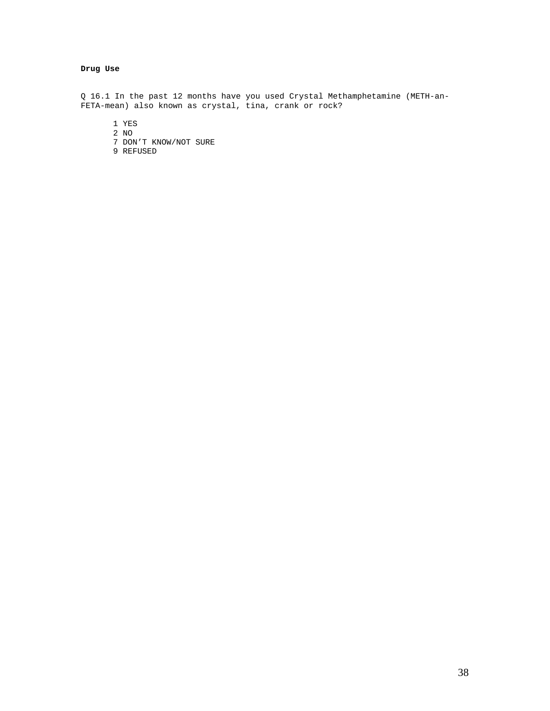# **Drug Use**

Q 16.1 In the past 12 months have you used Crystal Methamphetamine (METH-an-FETA-mean) also known as crystal, tina, crank or rock?

1 YES

2 NO

7 DON'T KNOW/NOT SURE

9 REFUSED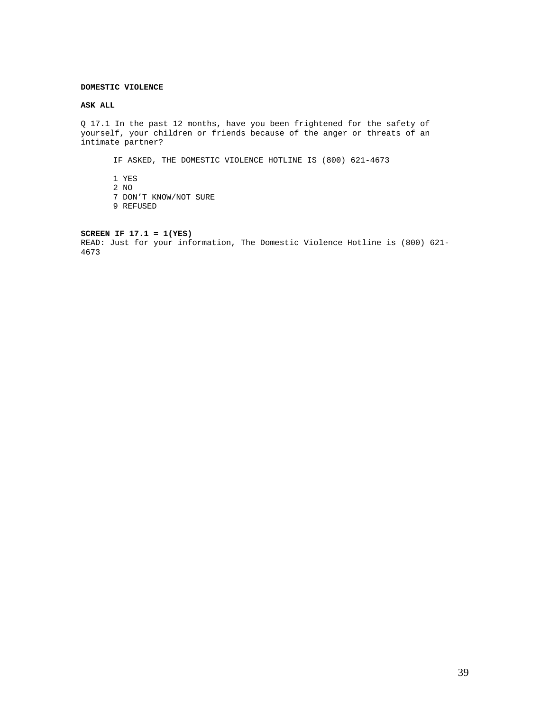## **DOMESTIC VIOLENCE**

# **ASK ALL**

Q 17.1 In the past 12 months, have you been frightened for the safety of yourself, your children or friends because of the anger or threats of an intimate partner?

IF ASKED, THE DOMESTIC VIOLENCE HOTLINE IS (800) 621-4673

1 YES 2 NO 7 DON'T KNOW/NOT SURE 9 REFUSED

## **SCREEN IF 17.1 = 1(YES)**

READ: Just for your information, The Domestic Violence Hotline is (800) 621- 4673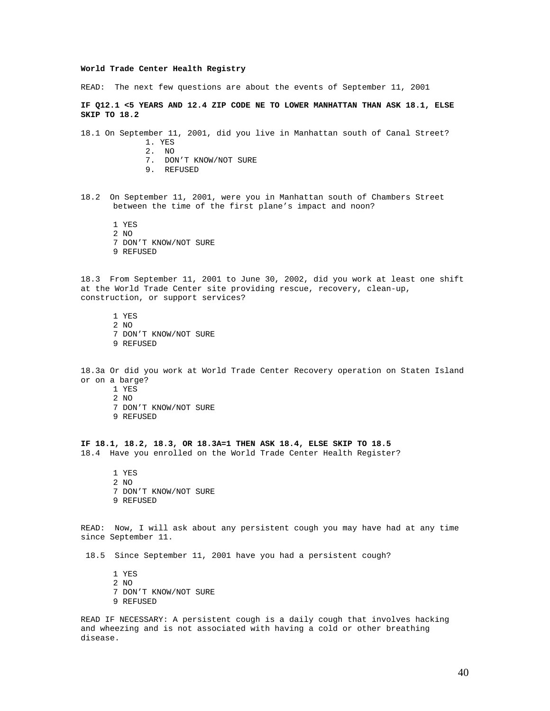### **World Trade Center Health Registry**

READ: The next few questions are about the events of September 11, 2001

**IF Q12.1 <5 YEARS AND 12.4 ZIP CODE NE TO LOWER MANHATTAN THAN ASK 18.1, ELSE SKIP TO 18.2** 

- 18.1 On September 11, 2001, did you live in Manhattan south of Canal Street?
	- 1. YES
	- 2. NO
	- 7. DON'T KNOW/NOT SURE
	- 9. REFUSED
- 18.2 On September 11, 2001, were you in Manhattan south of Chambers Street between the time of the first plane's impact and noon?
	- 1 YES 2 NO 7 DON'T KNOW/NOT SURE 9 REFUSED

18.3 From September 11, 2001 to June 30, 2002, did you work at least one shift at the World Trade Center site providing rescue, recovery, clean-up, construction, or support services?

1 YES 2 NO 7 DON'T KNOW/NOT SURE 9 REFUSED

18.3a Or did you work at World Trade Center Recovery operation on Staten Island or on a barge?

- 1 YES
- 2 NO 7 DON'T KNOW/NOT SURE
- 9 REFUSED

**IF 18.1, 18.2, 18.3, OR 18.3A=1 THEN ASK 18.4, ELSE SKIP TO 18.5** 

18.4 Have you enrolled on the World Trade Center Health Register?

1 YES 2 NO 7 DON'T KNOW/NOT SURE 9 REFUSED

READ: Now, I will ask about any persistent cough you may have had at any time since September 11.

18.5 Since September 11, 2001 have you had a persistent cough?

1 YES 2  $N()$ 7 DON'T KNOW/NOT SURE 9 REFUSED

READ IF NECESSARY: A persistent cough is a daily cough that involves hacking and wheezing and is not associated with having a cold or other breathing disease.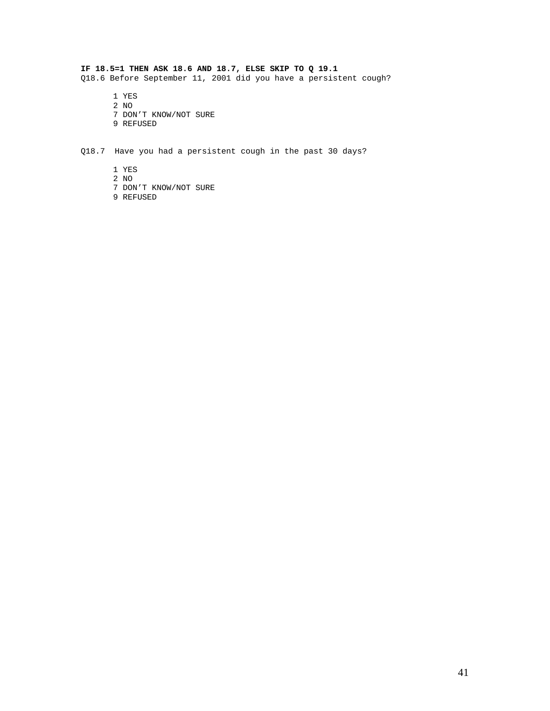# **IF 18.5=1 THEN ASK 18.6 AND 18.7, ELSE SKIP TO Q 19.1**

Q18.6 Before September 11, 2001 did you have a persistent cough?

- 1 YES
- 2 NO
- 7 DON'T KNOW/NOT SURE
- 9 REFUSED
- Q18.7 Have you had a persistent cough in the past 30 days?
	- 1 YES
	- 2 NO
	- 7 DON'T KNOW/NOT SURE
	- 9 REFUSED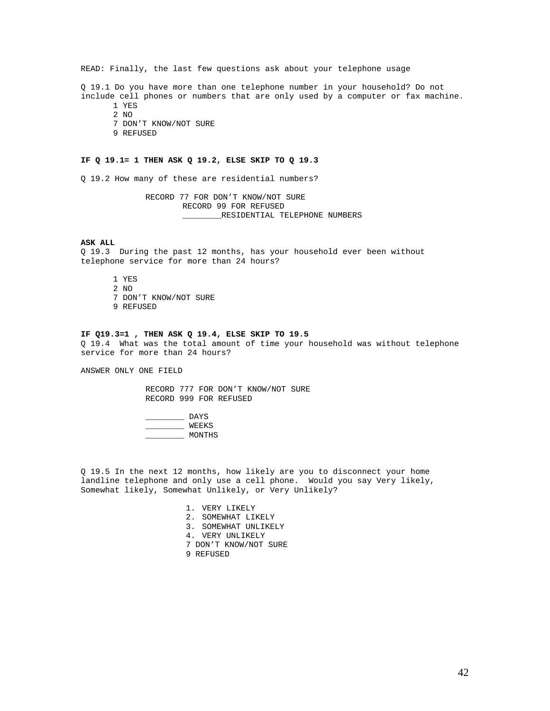READ: Finally, the last few questions ask about your telephone usage

Q 19.1 Do you have more than one telephone number in your household? Do not include cell phones or numbers that are only used by a computer or fax machine. 1 YES

- 2 NO
- 7 DON'T KNOW/NOT SURE
- 9 REFUSED

## **IF Q 19.1= 1 THEN ASK Q 19.2, ELSE SKIP TO Q 19.3**

Q 19.2 How many of these are residential numbers?

RECORD 77 FOR DON'T KNOW/NOT SURE RECORD 99 FOR REFUSED \_\_\_\_\_\_\_\_RESIDENTIAL TELEPHONE NUMBERS

## **ASK ALL**

Q 19.3 During the past 12 months, has your household ever been without telephone service for more than 24 hours?

1 YES 2 NO 7 DON'T KNOW/NOT SURE 9 REFUSED

#### **IF Q19.3=1 , THEN ASK Q 19.4, ELSE SKIP TO 19.5**

Q 19.4 What was the total amount of time your household was without telephone service for more than 24 hours?

ANSWER ONLY ONE FIELD

 RECORD 777 FOR DON'T KNOW/NOT SURE RECORD 999 FOR REFUSED

 \_\_\_\_\_\_\_\_ DAYS \_\_\_\_\_\_\_\_ WEEKS \_\_\_\_\_\_\_\_ MONTHS

Q 19.5 In the next 12 months, how likely are you to disconnect your home landline telephone and only use a cell phone. Would you say Very likely, Somewhat likely, Somewhat Unlikely, or Very Unlikely?

> 1. VERY LIKELY 2. SOMEWHAT LIKELY 3. SOMEWHAT UNLIKELY 4. VERY UNLIKELY 7 DON'T KNOW/NOT SURE 9 REFUSED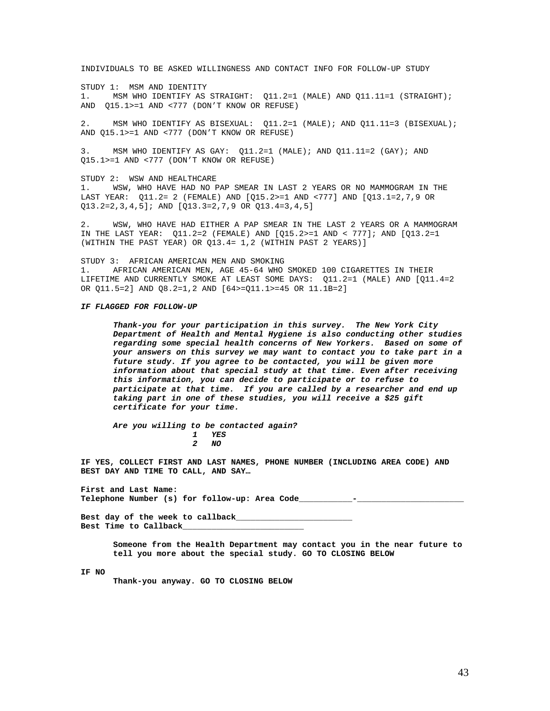INDIVIDUALS TO BE ASKED WILLINGNESS AND CONTACT INFO FOR FOLLOW-UP STUDY

STUDY 1: MSM AND IDENTITY 1. MSM WHO IDENTIFY AS STRAIGHT: Q11.2=1 (MALE) AND Q11.11=1 (STRAIGHT); AND Q15.1>=1 AND <777 (DON'T KNOW OR REFUSE)

2. MSM WHO IDENTIFY AS BISEXUAL: Q11.2=1 (MALE); AND Q11.11=3 (BISEXUAL); AND Q15.1>=1 AND <777 (DON'T KNOW OR REFUSE)

MSM WHO IDENTIFY AS GAY:  $Q11.2=1$  (MALE); AND  $Q11.11=2$  (GAY); AND Q15.1>=1 AND <777 (DON'T KNOW OR REFUSE)

STUDY 2: WSW AND HEALTHCARE 1. WSW, WHO HAVE HAD NO PAP SMEAR IN LAST 2 YEARS OR NO MAMMOGRAM IN THE LAST YEAR: Q11.2= 2 (FEMALE) AND [Q15.2>=1 AND <777] AND [Q13.1=2,7,9 OR Q13.2=2,3,4,5]; AND [Q13.3=2,7,9 OR Q13.4=3,4,5]

2. WSW, WHO HAVE HAD EITHER A PAP SMEAR IN THE LAST 2 YEARS OR A MAMMOGRAM IN THE LAST YEAR:  $Q11.2=2$  (FEMALE) AND  $[Q15.2>=1$  AND  $\langle 777 \rangle$ ; AND  $[Q13.2=1$ (WITHIN THE PAST YEAR) OR Q13.4= 1,2 (WITHIN PAST 2 YEARS)]

STUDY 3: AFRICAN AMERICAN MEN AND SMOKING 1. AFRICAN AMERICAN MEN, AGE 45-64 WHO SMOKED 100 CIGARETTES IN THEIR LIFETIME AND CURRENTLY SMOKE AT LEAST SOME DAYS: Q11.2=1 (MALE) AND [Q11.4=2 OR Q11.5=2] AND Q8.2=1,2 AND [64>=Q11.1>=45 OR 11.1B=2]

*IF FLAGGED FOR FOLLOW-UP* 

*Thank-you for your participation in this survey. The New York City Department of Health and Mental Hygiene is also conducting other studies regarding some special health concerns of New Yorkers. Based on some of your answers on this survey we may want to contact you to take part in a future study. If you agree to be contacted, you will be given more information about that special study at that time. Even after receiving this information, you can decide to participate or to refuse to participate at that time. If you are called by a researcher and end up taking part in one of these studies, you will receive a \$25 gift certificate for your time.* 

*Are you willing to be contacted again? 1 YES 2 NO* 

**IF YES, COLLECT FIRST AND LAST NAMES, PHONE NUMBER (INCLUDING AREA CODE) AND BEST DAY AND TIME TO CALL, AND SAY…** 

**First and Last Name: Telephone Number (s) for follow-up: Area Code\_\_\_\_\_\_\_\_\_\_\_-\_\_\_\_\_\_\_\_\_\_\_\_\_\_\_\_\_\_\_\_\_\_** 

**Best day of the week to callback\_\_\_\_\_\_\_\_\_\_\_\_\_\_\_\_\_\_\_\_\_\_\_\_ Best Time to Callback\_\_\_\_\_\_\_\_\_\_\_\_\_\_\_\_\_\_\_\_\_\_\_\_\_** 

> **Someone from the Health Department may contact you in the near future to tell you more about the special study. GO TO CLOSING BELOW**

**IF NO** 

**Thank-you anyway. GO TO CLOSING BELOW**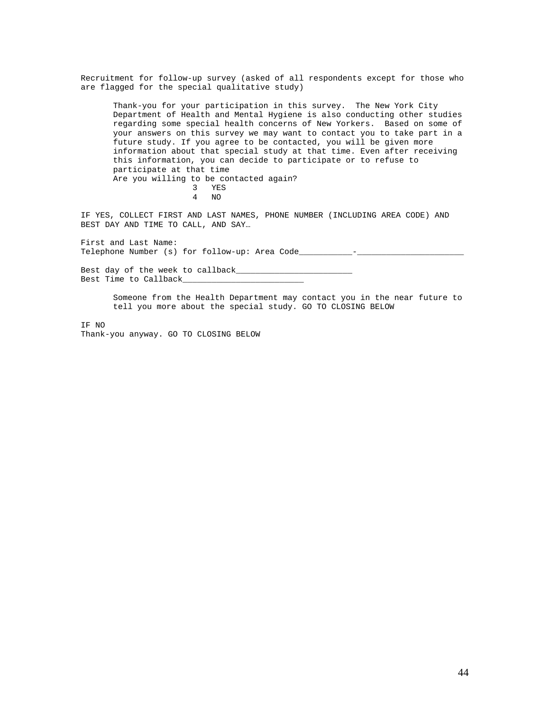Recruitment for follow-up survey (asked of all respondents except for those who are flagged for the special qualitative study)

Thank-you for your participation in this survey. The New York City Department of Health and Mental Hygiene is also conducting other studies regarding some special health concerns of New Yorkers. Based on some of your answers on this survey we may want to contact you to take part in a future study. If you agree to be contacted, you will be given more information about that special study at that time. Even after receiving this information, you can decide to participate or to refuse to participate at that time Are you willing to be contacted again?<br>3 YES 3 YES

4 NO

IF YES, COLLECT FIRST AND LAST NAMES, PHONE NUMBER (INCLUDING AREA CODE) AND BEST DAY AND TIME TO CALL, AND SAY…

First and Last Name: Telephone Number (s) for follow-up: Area Code\_\_\_\_\_\_\_\_\_\_\_-\_\_\_\_\_\_\_\_\_\_\_\_\_\_\_\_\_\_\_\_\_\_

Best day of the week to callback\_\_\_\_\_\_\_\_\_\_\_\_\_\_\_\_\_\_\_\_\_\_\_\_ Best Time to Callback\_\_\_\_\_\_\_\_\_\_\_\_\_\_\_\_\_\_\_\_\_\_\_\_\_

> Someone from the Health Department may contact you in the near future to tell you more about the special study. GO TO CLOSING BELOW

IF NO Thank-you anyway. GO TO CLOSING BELOW